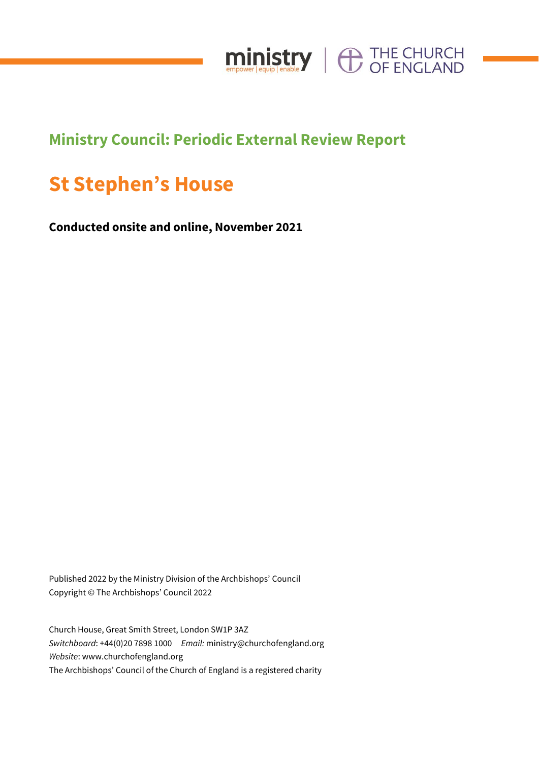

# **Ministry Council: Periodic External Review Report**

# **St Stephen's House**

**Conducted onsite and online, November 2021**

Published 2022 by the Ministry Division of the Archbishops' Council Copyright © The Archbishops' Council 2022

Church House, Great Smith Street, London SW1P 3AZ *Switchboard*: +44(0)20 7898 1000 *Email:* ministry@churchofengland.org *Website*: www.churchofengland.org The Archbishops' Council of the Church of England is a registered charity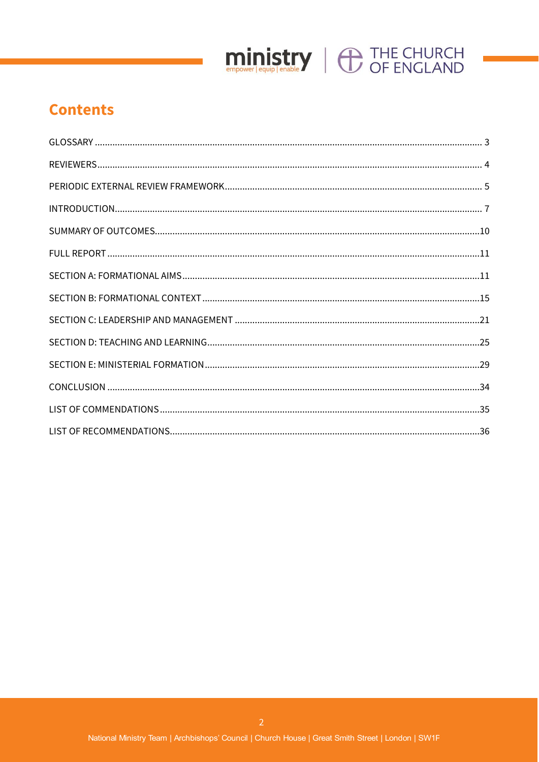

# **Contents**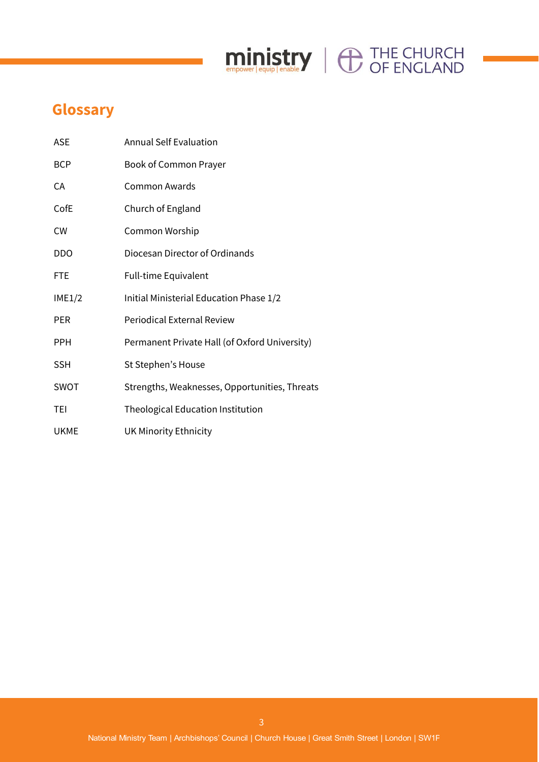# ministry | O THE CHURCH

# **Glossary**

| <b>ASE</b>  | <b>Annual Self Evaluation</b>                 |
|-------------|-----------------------------------------------|
| <b>BCP</b>  | Book of Common Prayer                         |
| СA          | Common Awards                                 |
| CofE        | Church of England                             |
| <b>CW</b>   | Common Worship                                |
| <b>DDO</b>  | Diocesan Director of Ordinands                |
| <b>FTE</b>  | Full-time Equivalent                          |
| IME1/2      | Initial Ministerial Education Phase 1/2       |
| PER         | <b>Periodical External Review</b>             |
| <b>PPH</b>  | Permanent Private Hall (of Oxford University) |
| <b>SSH</b>  | St Stephen's House                            |
| <b>SWOT</b> | Strengths, Weaknesses, Opportunities, Threats |
| TEI         | Theological Education Institution             |
| <b>UKME</b> | <b>UK Minority Ethnicity</b>                  |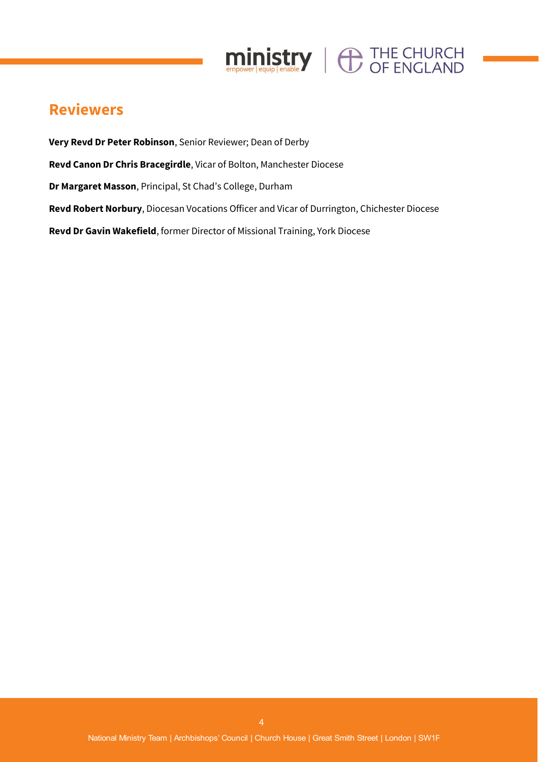

# **Reviewers**

**Very Revd Dr Peter Robinson**, Senior Reviewer; Dean of Derby **Revd Canon Dr Chris Bracegirdle**, Vicar of Bolton, Manchester Diocese **Dr Margaret Masson**, Principal, St Chad's College, Durham **Revd Robert Norbury**, Diocesan Vocations Officer and Vicar of Durrington, Chichester Diocese **Revd Dr Gavin Wakefield**, former Director of Missional Training, York Diocese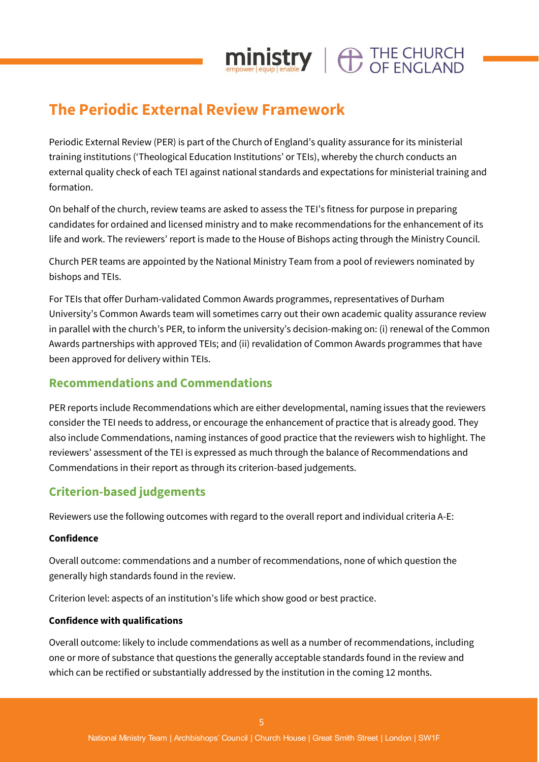# **The Periodic External Review Framework**

Periodic External Review (PER) is part of the Church of England's quality assurance for its ministerial training institutions ('Theological Education Institutions' or TEIs), whereby the church conducts an external quality check of each TEI against national standards and expectations for ministerial training and formation.

 $\mathop{\text{min}}_{\text{envover}|\text{eaulo}|}\left\Vert \bigoplus_{\text{enable}}\bigoplus_{\text{p}}\mathop{\text{int}}_{\text{CPE}}\mathop{\text{ENGI} }\text{AND}$ 

On behalf of the church, review teams are asked to assess the TEI's fitness for purpose in preparing candidates for ordained and licensed ministry and to make recommendations for the enhancement of its life and work. The reviewers' report is made to the House of Bishops acting through the Ministry Council.

Church PER teams are appointed by the National Ministry Team from a pool of reviewers nominated by bishops and TEIs.

For TEIs that offer Durham-validated Common Awards programmes, representatives of Durham University's Common Awards team will sometimes carry out their own academic quality assurance review in parallel with the church's PER, to inform the university's decision-making on: (i) renewal of the Common Awards partnerships with approved TEIs; and (ii) revalidation of Common Awards programmes that have been approved for delivery within TEIs.

# **Recommendations and Commendations**

PER reports include Recommendations which are either developmental, naming issues that the reviewers consider the TEI needs to address, or encourage the enhancement of practice that is already good. They also include Commendations, naming instances of good practice that the reviewers wish to highlight. The reviewers' assessment of the TEI is expressed as much through the balance of Recommendations and Commendations in their report as through its criterion-based judgements.

# **Criterion-based judgements**

Reviewers use the following outcomes with regard to the overall report and individual criteria A-E:

# **Confidence**

Overall outcome: commendations and a number of recommendations, none of which question the generally high standards found in the review.

Criterion level: aspects of an institution's life which show good or best practice.

# **Confidence with qualifications**

Overall outcome: likely to include commendations as well as a number of recommendations, including one or more of substance that questions the generally acceptable standards found in the review and which can be rectified or substantially addressed by the institution in the coming 12 months.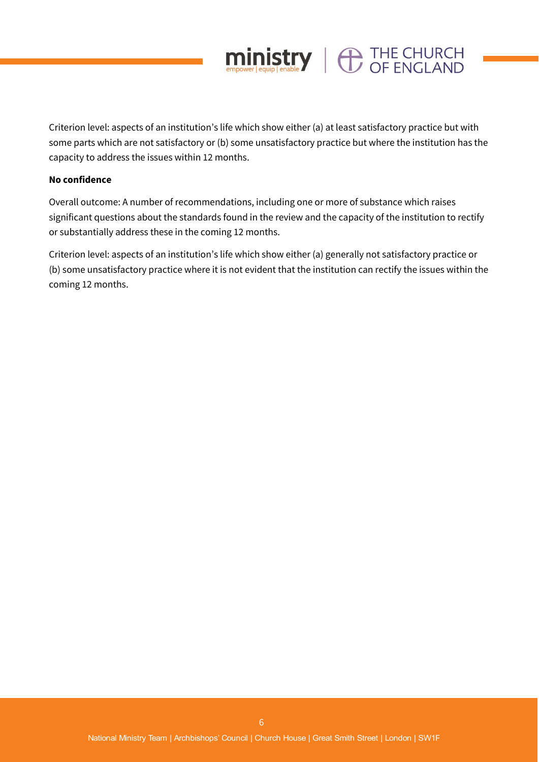

Criterion level: aspects of an institution's life which show either (a) at least satisfactory practice but with some parts which are not satisfactory or (b) some unsatisfactory practice but where the institution has the capacity to address the issues within 12 months.

#### **No confidence**

Overall outcome: A number of recommendations, including one or more of substance which raises significant questions about the standards found in the review and the capacity of the institution to rectify or substantially address these in the coming 12 months.

Criterion level: aspects of an institution's life which show either (a) generally not satisfactory practice or (b) some unsatisfactory practice where it is not evident that the institution can rectify the issues within the coming 12 months.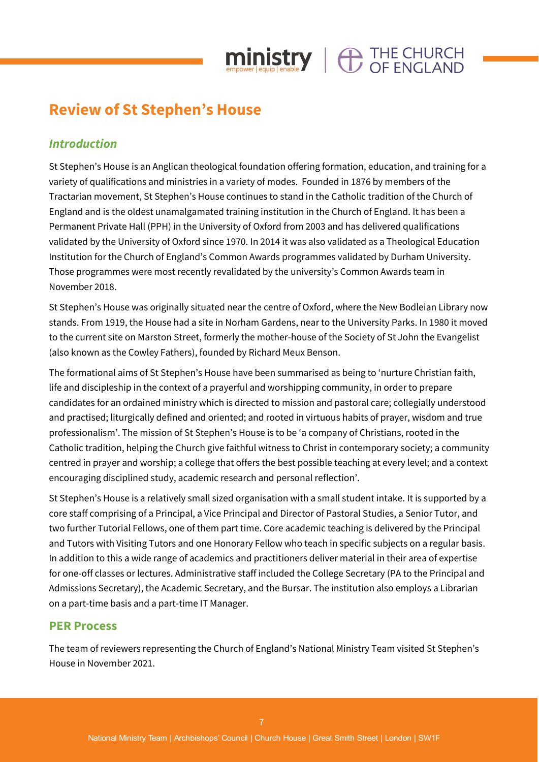

# **Review of St Stephen's House**

# *Introduction*

St Stephen's House is an Anglican theological foundation offering formation, education, and training for a variety of qualifications and ministries in a variety of modes. Founded in 1876 by members of the Tractarian movement, St Stephen's House continues to stand in the Catholic tradition of the Church of England and is the oldest unamalgamated training institution in the Church of England. It has been a Permanent Private Hall (PPH) in the University of Oxford from 2003 and has delivered qualifications validated by the University of Oxford since 1970. In 2014 it was also validated as a Theological Education Institution for the Church of England's Common Awards programmes validated by Durham University. Those programmes were most recently revalidated by the university's Common Awards team in November 2018.

St Stephen's House was originally situated near the centre of Oxford, where the New Bodleian Library now stands. From 1919, the House had a site in Norham Gardens, near to the University Parks. In 1980 it moved to the current site on Marston Street, formerly the mother-house of the Society of St John the Evangelist (also known as the Cowley Fathers), founded by Richard Meux Benson.

The formational aims of St Stephen's House have been summarised as being to 'nurture Christian faith, life and discipleship in the context of a prayerful and worshipping community, in order to prepare candidates for an ordained ministry which is directed to mission and pastoral care; collegially understood and practised; liturgically defined and oriented; and rooted in virtuous habits of prayer, wisdom and true professionalism'. The mission of St Stephen's House is to be 'a company of Christians, rooted in the Catholic tradition, helping the Church give faithful witness to Christ in contemporary society; a community centred in prayer and worship; a college that offers the best possible teaching at every level; and a context encouraging disciplined study, academic research and personal reflection'.

St Stephen's House is a relatively small sized organisation with a small student intake. It is supported by a core staff comprising of a Principal, a Vice Principal and Director of Pastoral Studies, a Senior Tutor, and two further Tutorial Fellows, one of them part time. Core academic teaching is delivered by the Principal and Tutors with Visiting Tutors and one Honorary Fellow who teach in specific subjects on a regular basis. In addition to this a wide range of academics and practitioners deliver material in their area of expertise for one-off classes or lectures. Administrative staff included the College Secretary (PA to the Principal and Admissions Secretary), the Academic Secretary, and the Bursar. The institution also employs a Librarian on a part-time basis and a part-time IT Manager.

# **PER Process**

The team of reviewers representing the Church of England's National Ministry Team visited St Stephen's House in November 2021.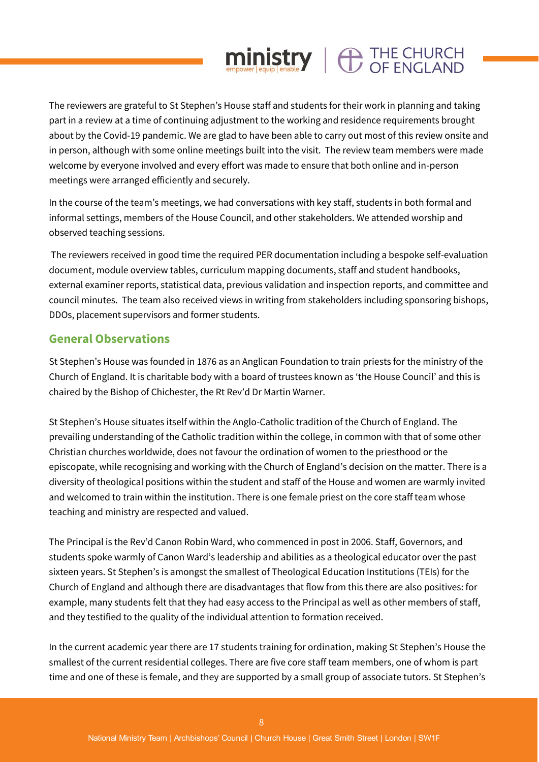# The reviewers are grateful to St Stephen's House staff and students for their work in planning and taking part in a review at a time of continuing adjustment to the working and residence requirements brought about by the Covid-19 pandemic. We are glad to have been able to carry out most of this review onsite and in person, although with some online meetings built into the visit. The review team members were made welcome by everyone involved and every effort was made to ensure that both online and in-person meetings were arranged efficiently and securely.

 $min_{\text{empower} \text{[equil]}} \text{[enable]} \parallel \bigoplus_{\text{OF} \text{ ENGLAND}}$ 

In the course of the team's meetings, we had conversations with key staff, students in both formal and informal settings, members of the House Council, and other stakeholders. We attended worship and observed teaching sessions.

The reviewers received in good time the required PER documentation including a bespoke self-evaluation document, module overview tables, curriculum mapping documents, staff and student handbooks, external examiner reports, statistical data, previous validation and inspection reports, and committee and council minutes. The team also received views in writing from stakeholders including sponsoring bishops, DDOs, placement supervisors and former students.

# **General Observations**

St Stephen's House was founded in 1876 as an Anglican Foundation to train priests for the ministry of the Church of England. It is charitable body with a board of trustees known as 'the House Council' and this is chaired by the Bishop of Chichester, the Rt Rev'd Dr Martin Warner.

St Stephen's House situates itself within the Anglo-Catholic tradition of the Church of England. The prevailing understanding of the Catholic tradition within the college, in common with that of some other Christian churches worldwide, does not favour the ordination of women to the priesthood or the episcopate, while recognising and working with the Church of England's decision on the matter. There is a diversity of theological positions within the student and staff of the House and women are warmly invited and welcomed to train within the institution. There is one female priest on the core staff team whose teaching and ministry are respected and valued.

The Principal is the Rev'd Canon Robin Ward, who commenced in post in 2006. Staff, Governors, and students spoke warmly of Canon Ward's leadership and abilities as a theological educator over the past sixteen years. St Stephen's is amongst the smallest of Theological Education Institutions (TEIs) for the Church of England and although there are disadvantages that flow from this there are also positives: for example, many students felt that they had easy access to the Principal as well as other members of staff, and they testified to the quality of the individual attention to formation received.

In the current academic year there are 17 students training for ordination, making St Stephen's House the smallest of the current residential colleges. There are five core staff team members, one of whom is part time and one of these is female, and they are supported by a small group of associate tutors. St Stephen's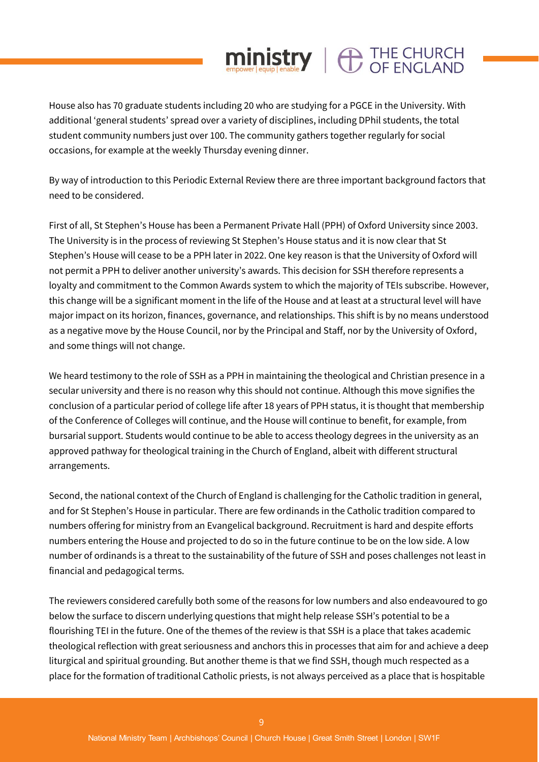# House also has 70 graduate students including 20 who are studying for a PGCE in the University. With additional 'general students' spread over a variety of disciplines, including DPhil students, the total student community numbers just over 100. The community gathers together regularly for social occasions, for example at the weekly Thursday evening dinner.

 $min_{\text{empower}|\text{equip}|}\left|\bigoplus_{\text{enable}}\right|$   $\bigoplus_{\text{OF}}$   $\text{ENGLAND}$ 

By way of introduction to this Periodic External Review there are three important background factors that need to be considered.

First of all, St Stephen's House has been a Permanent Private Hall (PPH) of Oxford University since 2003. The University is in the process of reviewing St Stephen's House status and it is now clear that St Stephen's House will cease to be a PPH later in 2022. One key reason is that the University of Oxford will not permit a PPH to deliver another university's awards. This decision for SSH therefore represents a loyalty and commitment to the Common Awards system to which the majority of TEIs subscribe. However, this change will be a significant moment in the life of the House and at least at a structural level will have major impact on its horizon, finances, governance, and relationships. This shift is by no means understood as a negative move by the House Council, nor by the Principal and Staff, nor by the University of Oxford, and some things will not change.

We heard testimony to the role of SSH as a PPH in maintaining the theological and Christian presence in a secular university and there is no reason why this should not continue. Although this move signifies the conclusion of a particular period of college life after 18 years of PPH status, it is thought that membership of the Conference of Colleges will continue, and the House will continue to benefit, for example, from bursarial support. Students would continue to be able to access theology degrees in the university as an approved pathway for theological training in the Church of England, albeit with different structural arrangements.

Second, the national context of the Church of England is challenging for the Catholic tradition in general, and for St Stephen's House in particular. There are few ordinands in the Catholic tradition compared to numbers offering for ministry from an Evangelical background. Recruitment is hard and despite efforts numbers entering the House and projected to do so in the future continue to be on the low side. A low number of ordinands is a threat to the sustainability of the future of SSH and poses challenges not least in financial and pedagogical terms.

The reviewers considered carefully both some of the reasons for low numbers and also endeavoured to go below the surface to discern underlying questions that might help release SSH's potential to be a flourishing TEI in the future. One of the themes of the review is that SSH is a place that takes academic theological reflection with great seriousness and anchors this in processes that aim for and achieve a deep liturgical and spiritual grounding. But another theme is that we find SSH, though much respected as a place for the formation of traditional Catholic priests, is not always perceived as a place that is hospitable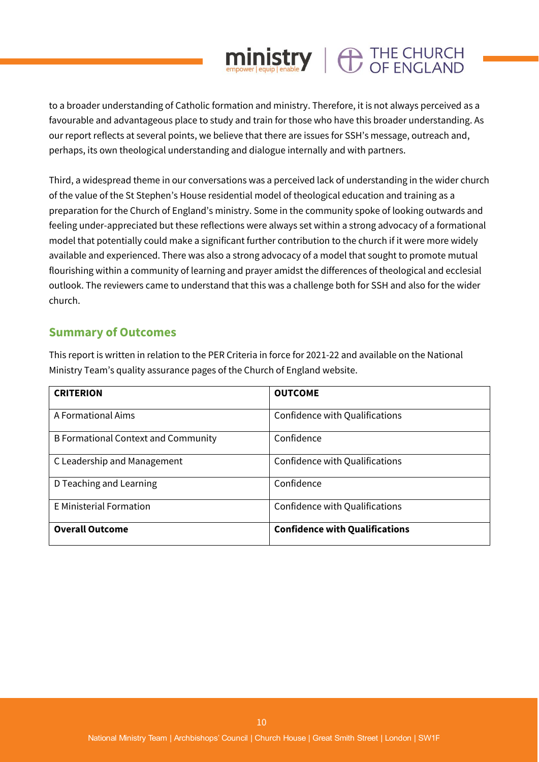to a broader understanding of Catholic formation and ministry. Therefore, it is not always perceived as a favourable and advantageous place to study and train for those who have this broader understanding. As our report reflects at several points, we believe that there are issues for SSH's message, outreach and, perhaps, its own theological understanding and dialogue internally and with partners.

 $ministry$   $\bigoplus$  THE CHURCH

Third, a widespread theme in our conversations was a perceived lack of understanding in the wider church of the value of the St Stephen's House residential model of theological education and training as a preparation for the Church of England's ministry. Some in the community spoke of looking outwards and feeling under-appreciated but these reflections were always set within a strong advocacy of a formational model that potentially could make a significant further contribution to the church if it were more widely available and experienced. There was also a strong advocacy of a model that sought to promote mutual flourishing within a community of learning and prayer amidst the differences of theological and ecclesial outlook. The reviewers came to understand that this was a challenge both for SSH and also for the wider church.

# **Summary of Outcomes**

This report is written in relation to the PER Criteria in force for 2021-22 and available on the National Ministry Team's quality assurance pages of the Church of England website.

| <b>CRITERION</b>                           | <b>OUTCOME</b>                        |
|--------------------------------------------|---------------------------------------|
| A Formational Aims                         | Confidence with Qualifications        |
| <b>B Formational Context and Community</b> | Confidence                            |
| C Leadership and Management                | Confidence with Qualifications        |
| D Teaching and Learning                    | Confidence                            |
| <b>E</b> Ministerial Formation             | Confidence with Qualifications        |
| <b>Overall Outcome</b>                     | <b>Confidence with Qualifications</b> |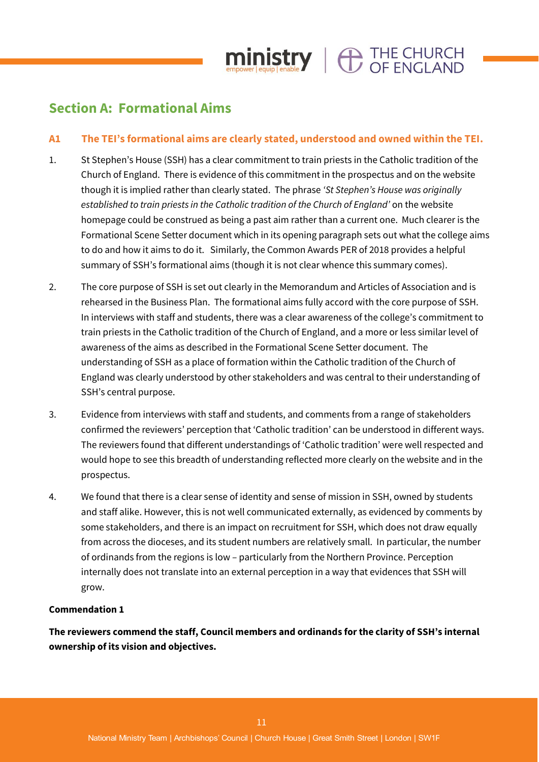

# **Section A: Formational Aims**

# **A1 The TEI's formational aims are clearly stated, understood and owned within the TEI.**

- 1. St Stephen's House (SSH) has a clear commitment to train priests in the Catholic tradition of the Church of England. There is evidence of this commitment in the prospectus and on the website though it is implied rather than clearly stated. The phrase *'St Stephen's House was originally established to train priests in the Catholic tradition of the Church of England'* on the website homepage could be construed as being a past aim rather than a current one. Much clearer is the Formational Scene Setter document which in its opening paragraph sets out what the college aims to do and how it aims to do it. Similarly, the Common Awards PER of 2018 provides a helpful summary of SSH's formational aims (though it is not clear whence this summary comes).
- 2. The core purpose of SSH is set out clearly in the Memorandum and Articles of Association and is rehearsed in the Business Plan. The formational aims fully accord with the core purpose of SSH. In interviews with staff and students, there was a clear awareness of the college's commitment to train priests in the Catholic tradition of the Church of England, and a more or less similar level of awareness of the aims as described in the Formational Scene Setter document. The understanding of SSH as a place of formation within the Catholic tradition of the Church of England was clearly understood by other stakeholders and was central to their understanding of SSH's central purpose.
- 3. Evidence from interviews with staff and students, and comments from a range of stakeholders confirmed the reviewers' perception that 'Catholic tradition' can be understood in different ways. The reviewers found that different understandings of 'Catholic tradition' were well respected and would hope to see this breadth of understanding reflected more clearly on the website and in the prospectus.
- 4. We found that there is a clear sense of identity and sense of mission in SSH, owned by students and staff alike. However, this is not well communicated externally, as evidenced by comments by some stakeholders, and there is an impact on recruitment for SSH, which does not draw equally from across the dioceses, and its student numbers are relatively small. In particular, the number of ordinands from the regions is low – particularly from the Northern Province. Perception internally does not translate into an external perception in a way that evidences that SSH will grow.

# **Commendation 1**

**The reviewers commend the staff, Council members and ordinands for the clarity of SSH's internal ownership of its vision and objectives.**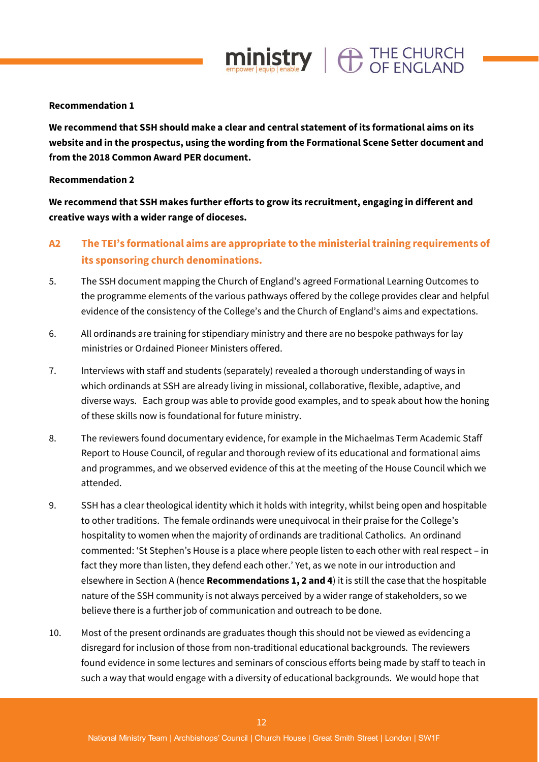### **Recommendation 1**

**We recommend that SSH should make a clear and central statement of its formational aims on its website and in the prospectus, using the wording from the Formational Scene Setter document and from the 2018 Common Award PER document.**

 $ministry \mid \bigoplus_{CF} \text{FNCI AND}$ 

#### **Recommendation 2**

**We recommend that SSH makes further efforts to grow its recruitment, engaging in different and creative ways with a wider range of dioceses.** 

# **A2 The TEI's formational aims are appropriate to the ministerial training requirements of its sponsoring church denominations.**

- 5. The SSH document mapping the Church of England's agreed Formational Learning Outcomes to the programme elements of the various pathways offered by the college provides clear and helpful evidence of the consistency of the College's and the Church of England's aims and expectations.
- 6. All ordinands are training for stipendiary ministry and there are no bespoke pathways for lay ministries or Ordained Pioneer Ministers offered.
- 7. Interviews with staff and students (separately) revealed a thorough understanding of ways in which ordinands at SSH are already living in missional, collaborative, flexible, adaptive, and diverse ways. Each group was able to provide good examples, and to speak about how the honing of these skills now is foundational for future ministry.
- 8. The reviewers found documentary evidence, for example in the Michaelmas Term Academic Staff Report to House Council, of regular and thorough review of its educational and formational aims and programmes, and we observed evidence of this at the meeting of the House Council which we attended.
- 9. SSH has a clear theological identity which it holds with integrity, whilst being open and hospitable to other traditions. The female ordinands were unequivocal in their praise for the College's hospitality to women when the majority of ordinands are traditional Catholics. An ordinand commented: 'St Stephen's House is a place where people listen to each other with real respect – in fact they more than listen, they defend each other.' Yet, as we note in our introduction and elsewhere in Section A (hence **Recommendations 1, 2 and 4**) it is still the case that the hospitable nature of the SSH community is not always perceived by a wider range of stakeholders, so we believe there is a further job of communication and outreach to be done.
- 10. Most of the present ordinands are graduates though this should not be viewed as evidencing a disregard for inclusion of those from non-traditional educational backgrounds. The reviewers found evidence in some lectures and seminars of conscious efforts being made by staff to teach in such a way that would engage with a diversity of educational backgrounds. We would hope that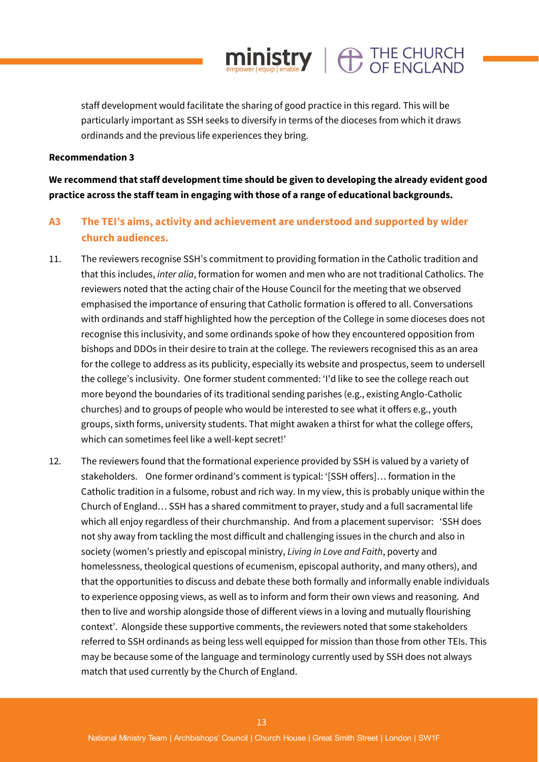staff development would facilitate the sharing of good practice in this regard. This will be particularly important as SSH seeks to diversify in terms of the dioceses from which it draws ordinands and the previous life experiences they bring.

 $min_{\text{empower} \text{[equip]}} \left| \bigoplus_{\text{enable}} \text{THE CHURCH} \right|$ 

#### **Recommendation 3**

**We recommend that staff development time should be given to developing the already evident good practice across the staff team in engaging with those of a range of educational backgrounds.** 

# **A3 The TEI's aims, activity and achievement are understood and supported by wider church audiences.**

- 11. The reviewers recognise SSH's commitment to providing formation in the Catholic tradition and that this includes, *inter alia*, formation for women and men who are not traditional Catholics. The reviewers noted that the acting chair of the House Council for the meeting that we observed emphasised the importance of ensuring that Catholic formation is offered to all. Conversations with ordinands and staff highlighted how the perception of the College in some dioceses does not recognise this inclusivity, and some ordinands spoke of how they encountered opposition from bishops and DDOs in their desire to train at the college. The reviewers recognised this as an area for the college to address as its publicity, especially its website and prospectus, seem to undersell the college's inclusivity. One former student commented: 'I'd like to see the college reach out more beyond the boundaries of its traditional sending parishes (e.g., existing Anglo-Catholic churches) and to groups of people who would be interested to see what it offers e.g., youth groups, sixth forms, university students. That might awaken a thirst for what the college offers, which can sometimes feel like a well-kept secret!'
- 12. The reviewers found that the formational experience provided by SSH is valued by a variety of stakeholders. One former ordinand's comment is typical: '[SSH offers]… formation in the Catholic tradition in a fulsome, robust and rich way. In my view, this is probably unique within the Church of England… SSH has a shared commitment to prayer, study and a full sacramental life which all enjoy regardless of their churchmanship. And from a placement supervisor: 'SSH does not shy away from tackling the most difficult and challenging issues in the church and also in society (women's priestly and episcopal ministry, *Living in Love and Faith*, poverty and homelessness, theological questions of ecumenism, episcopal authority, and many others), and that the opportunities to discuss and debate these both formally and informally enable individuals to experience opposing views, as well as to inform and form their own views and reasoning. And then to live and worship alongside those of different views in a loving and mutually flourishing context'. Alongside these supportive comments, the reviewers noted that some stakeholders referred to SSH ordinands as being less well equipped for mission than those from other TEIs. This may be because some of the language and terminology currently used by SSH does not always match that used currently by the Church of England.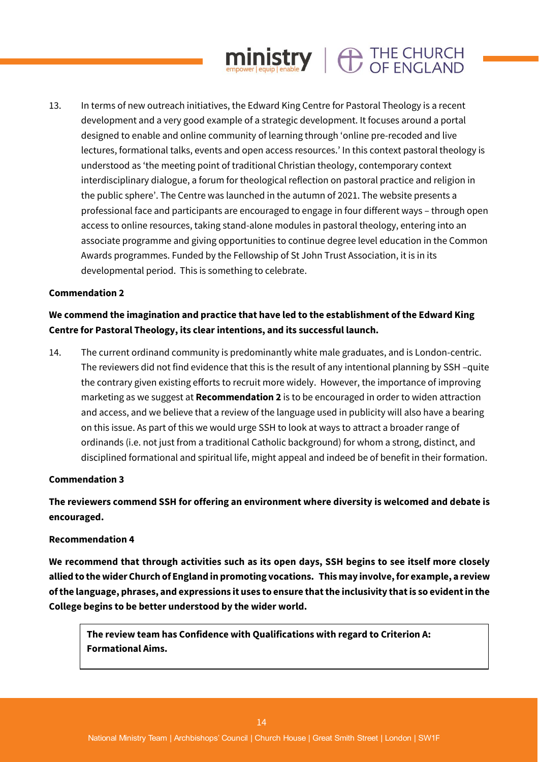# 13. In terms of new outreach initiatives, the Edward King Centre for Pastoral Theology is a recent development and a very good example of a strategic development. It focuses around a portal designed to enable and online community of learning through 'online pre-recoded and live lectures, formational talks, events and open access resources.' In this context pastoral theology is understood as 'the meeting point of traditional Christian theology, contemporary context interdisciplinary dialogue, a forum for theological reflection on pastoral practice and religion in the public sphere'. The Centre was launched in the autumn of 2021. The website presents a professional face and participants are encouraged to engage in four different ways – through open access to online resources, taking stand-alone modules in pastoral theology, entering into an associate programme and giving opportunities to continue degree level education in the Common Awards programmes. Funded by the Fellowship of St John Trust Association, it is in its developmental period. This is something to celebrate.

 $ministry$   $\oplus$  THE CHURCH

# **Commendation 2**

# **We commend the imagination and practice that have led to the establishment of the Edward King Centre for Pastoral Theology, its clear intentions, and its successful launch.**

14. The current ordinand community is predominantly white male graduates, and is London-centric. The reviewers did not find evidence that this is the result of any intentional planning by SSH –quite the contrary given existing efforts to recruit more widely. However, the importance of improving marketing as we suggest at **Recommendation 2** is to be encouraged in order to widen attraction and access, and we believe that a review of the language used in publicity will also have a bearing on this issue. As part of this we would urge SSH to look at ways to attract a broader range of ordinands (i.e. not just from a traditional Catholic background) for whom a strong, distinct, and disciplined formational and spiritual life, might appeal and indeed be of benefit in their formation.

# **Commendation 3**

# **The reviewers commend SSH for offering an environment where diversity is welcomed and debate is encouraged.**

# **Recommendation 4**

**We recommend that through activities such as its open days, SSH begins to see itself more closely allied to the wider Church of England in promoting vocations. This may involve, for example, a review of the language, phrases, and expressions it uses to ensure that the inclusivity that is so evident in the College begins to be better understood by the wider world.** 

**The review team has Confidence with Qualifications with regard to Criterion A: Formational Aims.**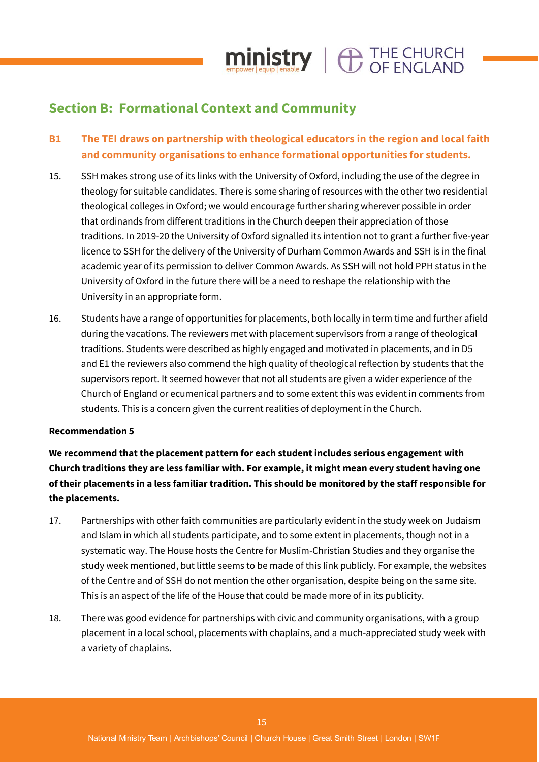# **Section B: Formational Context and Community**

# **B1 The TEI draws on partnership with theological educators in the region and local faith and community organisations to enhance formational opportunities for students.**

 $ministry$   $\oplus$  THE CHURCH

- 15. SSH makes strong use of its links with the University of Oxford, including the use of the degree in theology for suitable candidates. There is some sharing of resources with the other two residential theological colleges in Oxford; we would encourage further sharing wherever possible in order that ordinands from different traditions in the Church deepen their appreciation of those traditions. In 2019-20 the University of Oxford signalled its intention not to grant a further five-year licence to SSH for the delivery of the University of Durham Common Awards and SSH is in the final academic year of its permission to deliver Common Awards. As SSH will not hold PPH status in the University of Oxford in the future there will be a need to reshape the relationship with the University in an appropriate form.
- 16. Students have a range of opportunities for placements, both locally in term time and further afield during the vacations. The reviewers met with placement supervisors from a range of theological traditions. Students were described as highly engaged and motivated in placements, and in D5 and E1 the reviewers also commend the high quality of theological reflection by students that the supervisors report. It seemed however that not all students are given a wider experience of the Church of England or ecumenical partners and to some extent this was evident in comments from students. This is a concern given the current realities of deployment in the Church.

#### **Recommendation 5**

**We recommend that the placement pattern for each student includes serious engagement with Church traditions they are less familiar with. For example, it might mean every student having one of their placements in a less familiar tradition. This should be monitored by the staff responsible for the placements.**

- 17. Partnerships with other faith communities are particularly evident in the study week on Judaism and Islam in which all students participate, and to some extent in placements, though not in a systematic way. The House hosts the Centre for Muslim-Christian Studies and they organise the study week mentioned, but little seems to be made of this link publicly. For example, the websites of the Centre and of SSH do not mention the other organisation, despite being on the same site. This is an aspect of the life of the House that could be made more of in its publicity.
- 18. There was good evidence for partnerships with civic and community organisations, with a group placement in a local school, placements with chaplains, and a much-appreciated study week with a variety of chaplains.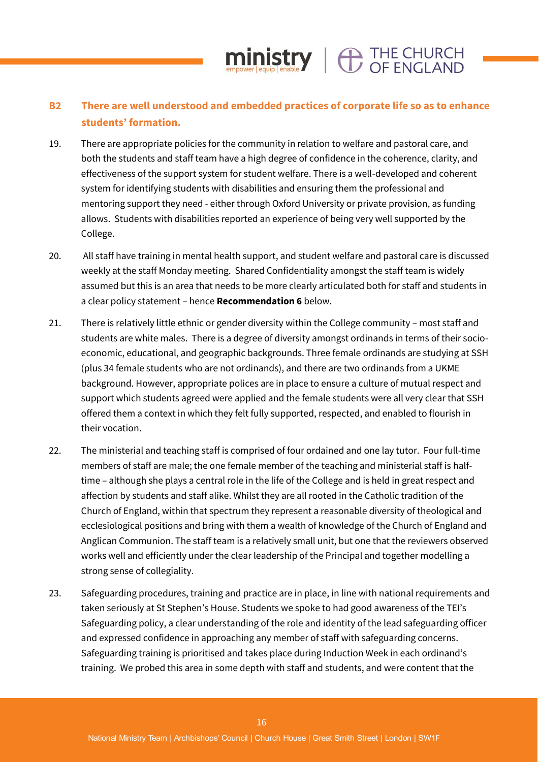# **B2 There are well understood and embedded practices of corporate life so as to enhance students' formation.**

 $min_{\text{empower} \text{[equip]}} \left| \bigoplus_{\text{enable}} \text{THE CHURCH} \right|$ 

- 19. There are appropriate policies for the community in relation to welfare and pastoral care, and both the students and staff team have a high degree of confidence in the coherence, clarity, and effectiveness of the support system for student welfare. There is a well-developed and coherent system for identifying students with disabilities and ensuring them the professional and mentoring support they need - either through Oxford University or private provision, as funding allows. Students with disabilities reported an experience of being very well supported by the College.
- 20. All staff have training in mental health support, and student welfare and pastoral care is discussed weekly at the staff Monday meeting. Shared Confidentiality amongst the staff team is widely assumed but this is an area that needs to be more clearly articulated both for staff and students in a clear policy statement – hence **Recommendation 6** below.
- 21. There is relatively little ethnic or gender diversity within the College community most staff and students are white males. There is a degree of diversity amongst ordinands in terms of their socioeconomic, educational, and geographic backgrounds. Three female ordinands are studying at SSH (plus 34 female students who are not ordinands), and there are two ordinands from a UKME background. However, appropriate polices are in place to ensure a culture of mutual respect and support which students agreed were applied and the female students were all very clear that SSH offered them a context in which they felt fully supported, respected, and enabled to flourish in their vocation.
- 22. The ministerial and teaching staff is comprised of four ordained and one lay tutor. Four full-time members of staff are male; the one female member of the teaching and ministerial staff is halftime – although she plays a central role in the life of the College and is held in great respect and affection by students and staff alike. Whilst they are all rooted in the Catholic tradition of the Church of England, within that spectrum they represent a reasonable diversity of theological and ecclesiological positions and bring with them a wealth of knowledge of the Church of England and Anglican Communion. The staff team is a relatively small unit, but one that the reviewers observed works well and efficiently under the clear leadership of the Principal and together modelling a strong sense of collegiality.
- 23. Safeguarding procedures, training and practice are in place, in line with national requirements and taken seriously at St Stephen's House. Students we spoke to had good awareness of the TEI's Safeguarding policy, a clear understanding of the role and identity of the lead safeguarding officer and expressed confidence in approaching any member of staff with safeguarding concerns. Safeguarding training is prioritised and takes place during Induction Week in each ordinand's training. We probed this area in some depth with staff and students, and were content that the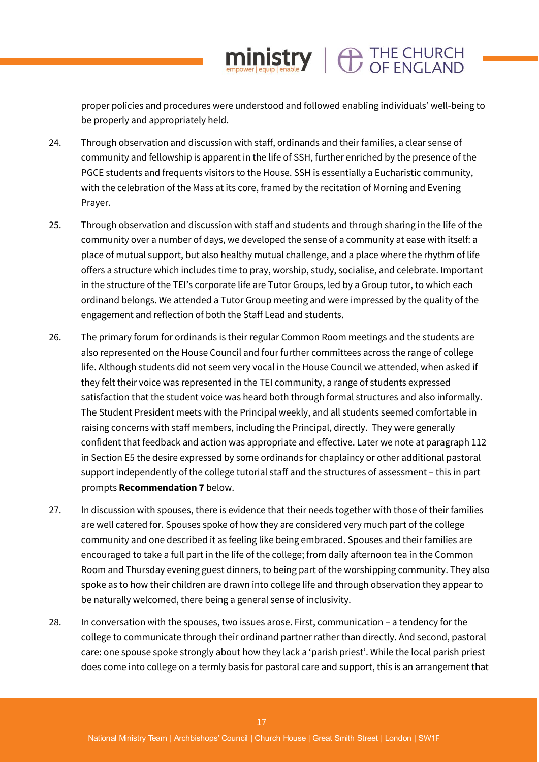proper policies and procedures were understood and followed enabling individuals' well-being to be properly and appropriately held.

 $min_{\text{empower}|\text{equip}|}\left|\bigoplus_{\text{enable}}\right|$   $\bigoplus_{\text{OF}|\text{ENGLAND}|}\left|$ 

- 24. Through observation and discussion with staff, ordinands and their families, a clear sense of community and fellowship is apparent in the life of SSH, further enriched by the presence of the PGCE students and frequents visitors to the House. SSH is essentially a Eucharistic community, with the celebration of the Mass at its core, framed by the recitation of Morning and Evening Prayer.
- 25. Through observation and discussion with staff and students and through sharing in the life of the community over a number of days, we developed the sense of a community at ease with itself: a place of mutual support, but also healthy mutual challenge, and a place where the rhythm of life offers a structure which includes time to pray, worship, study, socialise, and celebrate. Important in the structure of the TEI's corporate life are Tutor Groups, led by a Group tutor, to which each ordinand belongs. We attended a Tutor Group meeting and were impressed by the quality of the engagement and reflection of both the Staff Lead and students.
- 26. The primary forum for ordinands is their regular Common Room meetings and the students are also represented on the House Council and four further committees across the range of college life. Although students did not seem very vocal in the House Council we attended, when asked if they felt their voice was represented in the TEI community, a range of students expressed satisfaction that the student voice was heard both through formal structures and also informally. The Student President meets with the Principal weekly, and all students seemed comfortable in raising concerns with staff members, including the Principal, directly. They were generally confident that feedback and action was appropriate and effective. Later we note at paragraph 112 in Section E5 the desire expressed by some ordinands for chaplaincy or other additional pastoral support independently of the college tutorial staff and the structures of assessment – this in part prompts **Recommendation 7** below.
- 27. In discussion with spouses, there is evidence that their needs together with those of their families are well catered for. Spouses spoke of how they are considered very much part of the college community and one described it as feeling like being embraced. Spouses and their families are encouraged to take a full part in the life of the college; from daily afternoon tea in the Common Room and Thursday evening guest dinners, to being part of the worshipping community. They also spoke as to how their children are drawn into college life and through observation they appear to be naturally welcomed, there being a general sense of inclusivity.
- 28. In conversation with the spouses, two issues arose. First, communication a tendency for the college to communicate through their ordinand partner rather than directly. And second, pastoral care: one spouse spoke strongly about how they lack a 'parish priest'. While the local parish priest does come into college on a termly basis for pastoral care and support, this is an arrangement that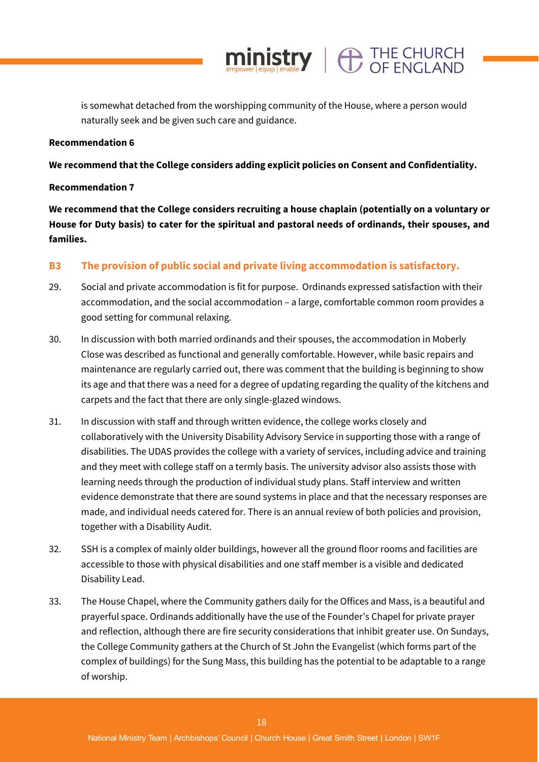is somewhat detached from the worshipping community of the House, where a person would naturally seek and be given such care and guidance.

 $ministry \mid \bigoplus_{CF} \text{FNCI AND}$ 

#### **Recommendation 6**

**We recommend that the College considers adding explicit policies on Consent and Confidentiality.**

### **Recommendation 7**

**We recommend that the College considers recruiting a house chaplain (potentially on a voluntary or House for Duty basis) to cater for the spiritual and pastoral needs of ordinands, their spouses, and families.** 

# **B3 The provision of public social and private living accommodation is satisfactory.**

- 29. Social and private accommodation is fit for purpose. Ordinands expressed satisfaction with their accommodation, and the social accommodation – a large, comfortable common room provides a good setting for communal relaxing.
- 30. In discussion with both married ordinands and their spouses, the accommodation in Moberly Close was described as functional and generally comfortable. However, while basic repairs and maintenance are regularly carried out, there was comment that the building is beginning to show its age and that there was a need for a degree of updating regarding the quality of the kitchens and carpets and the fact that there are only single-glazed windows.
- 31. In discussion with staff and through written evidence, the college works closely and collaboratively with the University Disability Advisory Service in supporting those with a range of disabilities. The UDAS provides the college with a variety of services, including advice and training and they meet with college staff on a termly basis. The university advisor also assists those with learning needs through the production of individual study plans. Staff interview and written evidence demonstrate that there are sound systems in place and that the necessary responses are made, and individual needs catered for. There is an annual review of both policies and provision, together with a Disability Audit.
- 32. SSH is a complex of mainly older buildings, however all the ground floor rooms and facilities are accessible to those with physical disabilities and one staff member is a visible and dedicated Disability Lead.
- 33. The House Chapel, where the Community gathers daily for the Offices and Mass, is a beautiful and prayerful space. Ordinands additionally have the use of the Founder's Chapel for private prayer and reflection, although there are fire security considerations that inhibit greater use. On Sundays, the College Community gathers at the Church of St John the Evangelist (which forms part of the complex of buildings) for the Sung Mass, this building has the potential to be adaptable to a range of worship.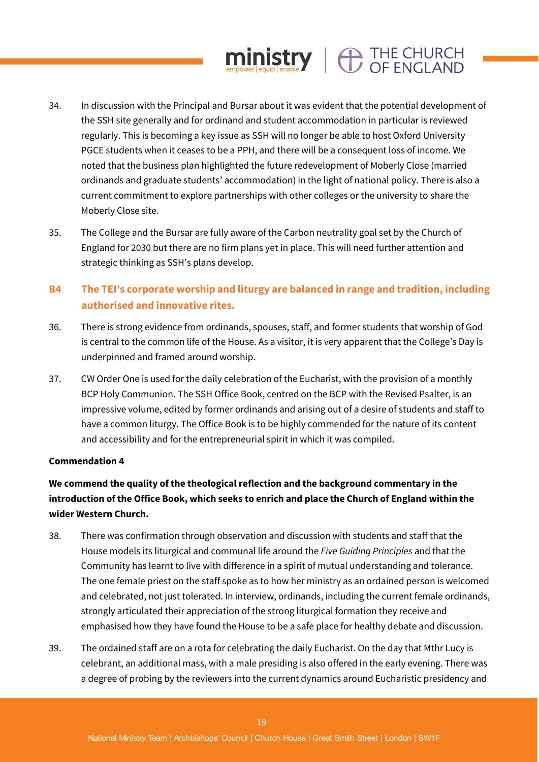# 34. In discussion with the Principal and Bursar about it was evident that the potential development of the SSH site generally and for ordinand and student accommodation in particular is reviewed regularly. This is becoming a key issue as SSH will no longer be able to host Oxford University PGCE students when it ceases to be a PPH, and there will be a consequent loss of income. We noted that the business plan highlighted the future redevelopment of Moberly Close (married ordinands and graduate students' accommodation) in the light of national policy. There is also a current commitment to explore partnerships with other colleges or the university to share the Moberly Close site.

 $ministry$   $\oplus$  THE CHURCH

35. The College and the Bursar are fully aware of the Carbon neutrality goal set by the Church of England for 2030 but there are no firm plans yet in place. This will need further attention and strategic thinking as SSH's plans develop.

# **B4 The TEI's corporate worship and liturgy are balanced in range and tradition, including authorised and innovative rites.**

- 36. There is strong evidence from ordinands, spouses, staff, and former students that worship of God is central to the common life of the House. As a visitor, it is very apparent that the College's Day is underpinned and framed around worship.
- 37. CW Order One is used for the daily celebration of the Eucharist, with the provision of a monthly BCP Holy Communion. The SSH Office Book, centred on the BCP with the Revised Psalter, is an impressive volume, edited by former ordinands and arising out of a desire of students and staff to have a common liturgy. The Office Book is to be highly commended for the nature of its content and accessibility and for the entrepreneurial spirit in which it was compiled.

# **Commendation 4**

# **We commend the quality of the theological reflection and the background commentary in the introduction of the Office Book, which seeks to enrich and place the Church of England within the wider Western Church.**

- 38. There was confirmation through observation and discussion with students and staff that the House models its liturgical and communal life around the *Five Guiding Principles* and that the Community has learnt to live with difference in a spirit of mutual understanding and tolerance. The one female priest on the staff spoke as to how her ministry as an ordained person is welcomed and celebrated, not just tolerated. In interview, ordinands, including the current female ordinands, strongly articulated their appreciation of the strong liturgical formation they receive and emphasised how they have found the House to be a safe place for healthy debate and discussion.
- 39. The ordained staff are on a rota for celebrating the daily Eucharist. On the day that Mthr Lucy is celebrant, an additional mass, with a male presiding is also offered in the early evening. There was a degree of probing by the reviewers into the current dynamics around Eucharistic presidency and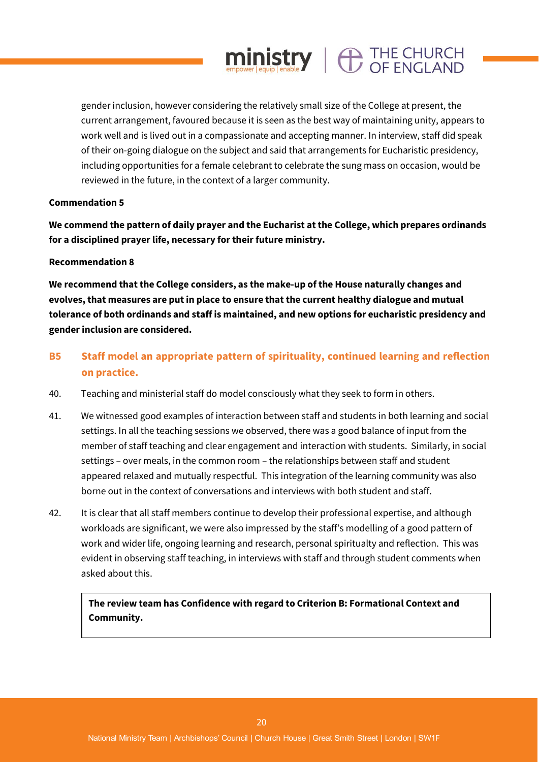gender inclusion, however considering the relatively small size of the College at present, the current arrangement, favoured because it is seen as the best way of maintaining unity, appears to work well and is lived out in a compassionate and accepting manner. In interview, staff did speak of their on-going dialogue on the subject and said that arrangements for Eucharistic presidency, including opportunities for a female celebrant to celebrate the sung mass on occasion, would be reviewed in the future, in the context of a larger community.

 $ministry \mid \bigoplus_{CF} \text{FNCI AND}$ 

### **Commendation 5**

**We commend the pattern of daily prayer and the Eucharist at the College, which prepares ordinands for a disciplined prayer life, necessary for their future ministry.**

#### **Recommendation 8**

**We recommend that the College considers, as the make-up of the House naturally changes and evolves, that measures are put in place to ensure that the current healthy dialogue and mutual tolerance of both ordinands and staff is maintained, and new options for eucharistic presidency and gender inclusion are considered.** 

- **B5 Staff model an appropriate pattern of spirituality, continued learning and reflection on practice.**
- 40. Teaching and ministerial staff do model consciously what they seek to form in others.
- 41. We witnessed good examples of interaction between staff and students in both learning and social settings. In all the teaching sessions we observed, there was a good balance of input from the member of staff teaching and clear engagement and interaction with students. Similarly, in social settings – over meals, in the common room – the relationships between staff and student appeared relaxed and mutually respectful. This integration of the learning community was also borne out in the context of conversations and interviews with both student and staff.
- 42. It is clear that all staff members continue to develop their professional expertise, and although workloads are significant, we were also impressed by the staff's modelling of a good pattern of work and wider life, ongoing learning and research, personal spiritualty and reflection. This was evident in observing staff teaching, in interviews with staff and through student comments when asked about this.

**The review team has Confidence with regard to Criterion B: Formational Context and Community.**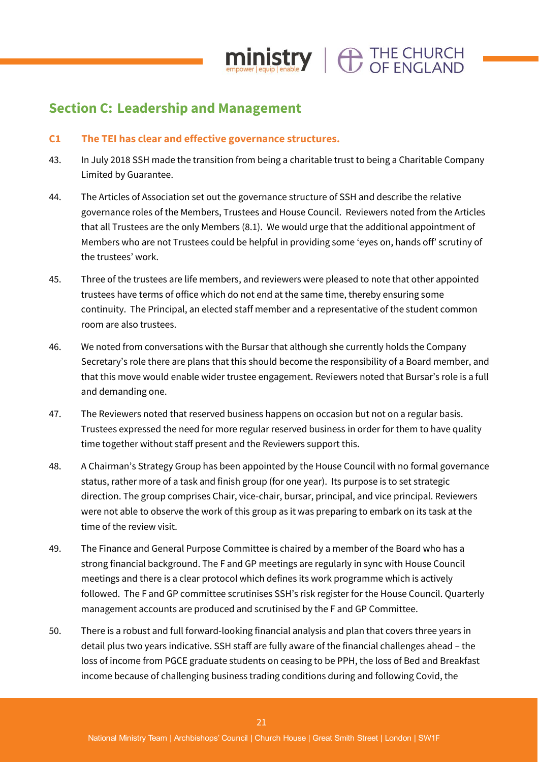

# **Section C: Leadership and Management**

# **C1 The TEI has clear and effective governance structures.**

- 43. In July 2018 SSH made the transition from being a charitable trust to being a Charitable Company Limited by Guarantee.
- 44. The Articles of Association set out the governance structure of SSH and describe the relative governance roles of the Members, Trustees and House Council. Reviewers noted from the Articles that all Trustees are the only Members (8.1). We would urge that the additional appointment of Members who are not Trustees could be helpful in providing some 'eyes on, hands off' scrutiny of the trustees' work.
- 45. Three of the trustees are life members, and reviewers were pleased to note that other appointed trustees have terms of office which do not end at the same time, thereby ensuring some continuity. The Principal, an elected staff member and a representative of the student common room are also trustees.
- 46. We noted from conversations with the Bursar that although she currently holds the Company Secretary's role there are plans that this should become the responsibility of a Board member, and that this move would enable wider trustee engagement. Reviewers noted that Bursar's role is a full and demanding one.
- 47. The Reviewers noted that reserved business happens on occasion but not on a regular basis. Trustees expressed the need for more regular reserved business in order for them to have quality time together without staff present and the Reviewers support this.
- 48. A Chairman's Strategy Group has been appointed by the House Council with no formal governance status, rather more of a task and finish group (for one year). Its purpose is to set strategic direction. The group comprises Chair, vice-chair, bursar, principal, and vice principal. Reviewers were not able to observe the work of this group as it was preparing to embark on its task at the time of the review visit.
- 49. The Finance and General Purpose Committee is chaired by a member of the Board who has a strong financial background. The F and GP meetings are regularly in sync with House Council meetings and there is a clear protocol which defines its work programme which is actively followed. The F and GP committee scrutinises SSH's risk register for the House Council. Quarterly management accounts are produced and scrutinised by the F and GP Committee.
- 50. There is a robust and full forward-looking financial analysis and plan that covers three years in detail plus two years indicative. SSH staff are fully aware of the financial challenges ahead – the loss of income from PGCE graduate students on ceasing to be PPH, the loss of Bed and Breakfast income because of challenging business trading conditions during and following Covid, the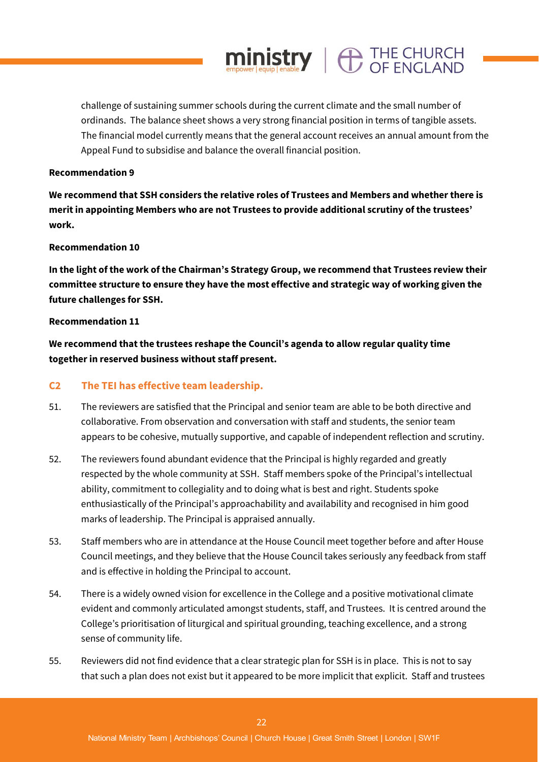challenge of sustaining summer schools during the current climate and the small number of ordinands. The balance sheet shows a very strong financial position in terms of tangible assets. The financial model currently means that the general account receives an annual amount from the Appeal Fund to subsidise and balance the overall financial position.

 $ministry$   $\oplus$  THE CHURCH

#### **Recommendation 9**

**We recommend that SSH considers the relative roles of Trustees and Members and whether there is merit in appointing Members who are not Trustees to provide additional scrutiny of the trustees' work.**

#### **Recommendation 10**

**In the light of the work of the Chairman's Strategy Group, we recommend that Trustees review their committee structure to ensure they have the most effective and strategic way of working given the future challenges for SSH.**

#### **Recommendation 11**

**We recommend that the trustees reshape the Council's agenda to allow regular quality time together in reserved business without staff present.** 

#### **C2 The TEI has effective team leadership.**

- 51. The reviewers are satisfied that the Principal and senior team are able to be both directive and collaborative. From observation and conversation with staff and students, the senior team appears to be cohesive, mutually supportive, and capable of independent reflection and scrutiny.
- 52. The reviewers found abundant evidence that the Principal is highly regarded and greatly respected by the whole community at SSH. Staff members spoke of the Principal's intellectual ability, commitment to collegiality and to doing what is best and right. Students spoke enthusiastically of the Principal's approachability and availability and recognised in him good marks of leadership. The Principal is appraised annually.
- 53. Staff members who are in attendance at the House Council meet together before and after House Council meetings, and they believe that the House Council takes seriously any feedback from staff and is effective in holding the Principal to account.
- 54. There is a widely owned vision for excellence in the College and a positive motivational climate evident and commonly articulated amongst students, staff, and Trustees. It is centred around the College's prioritisation of liturgical and spiritual grounding, teaching excellence, and a strong sense of community life.
- 55. Reviewers did not find evidence that a clear strategic plan for SSH is in place. This is not to say that such a plan does not exist but it appeared to be more implicit that explicit. Staff and trustees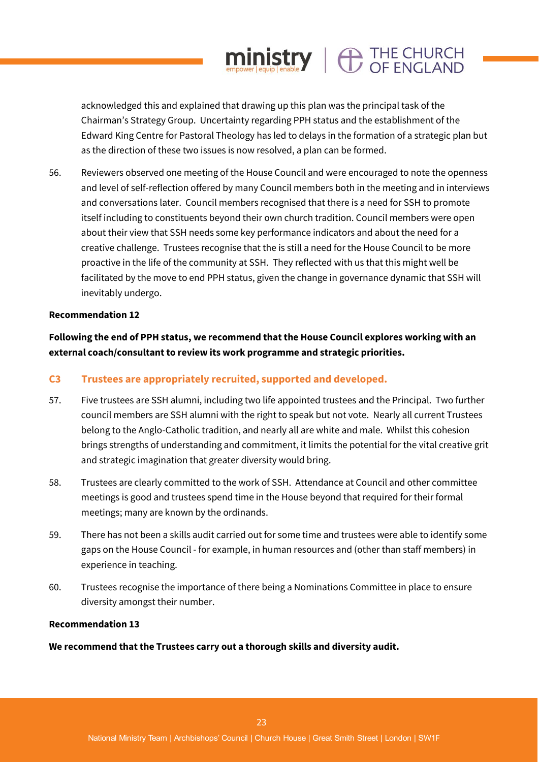acknowledged this and explained that drawing up this plan was the principal task of the Chairman's Strategy Group. Uncertainty regarding PPH status and the establishment of the Edward King Centre for Pastoral Theology has led to delays in the formation of a strategic plan but as the direction of these two issues is now resolved, a plan can be formed.

 $ministry$   $\oplus$  THE CHURCH

56. Reviewers observed one meeting of the House Council and were encouraged to note the openness and level of self-reflection offered by many Council members both in the meeting and in interviews and conversations later. Council members recognised that there is a need for SSH to promote itself including to constituents beyond their own church tradition. Council members were open about their view that SSH needs some key performance indicators and about the need for a creative challenge. Trustees recognise that the is still a need for the House Council to be more proactive in the life of the community at SSH. They reflected with us that this might well be facilitated by the move to end PPH status, given the change in governance dynamic that SSH will inevitably undergo.

#### **Recommendation 12**

**Following the end of PPH status, we recommend that the House Council explores working with an external coach/consultant to review its work programme and strategic priorities.**

#### **C3 Trustees are appropriately recruited, supported and developed.**

- 57. Five trustees are SSH alumni, including two life appointed trustees and the Principal. Two further council members are SSH alumni with the right to speak but not vote. Nearly all current Trustees belong to the Anglo-Catholic tradition, and nearly all are white and male. Whilst this cohesion brings strengths of understanding and commitment, it limits the potential for the vital creative grit and strategic imagination that greater diversity would bring.
- 58. Trustees are clearly committed to the work of SSH. Attendance at Council and other committee meetings is good and trustees spend time in the House beyond that required for their formal meetings; many are known by the ordinands.
- 59. There has not been a skills audit carried out for some time and trustees were able to identify some gaps on the House Council - for example, in human resources and (other than staff members) in experience in teaching.
- 60. Trustees recognise the importance of there being a Nominations Committee in place to ensure diversity amongst their number.

#### **Recommendation 13**

**We recommend that the Trustees carry out a thorough skills and diversity audit.**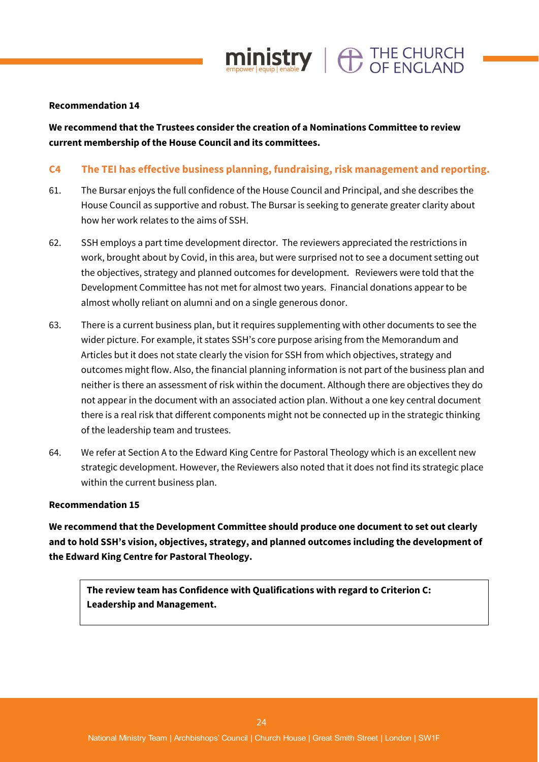

#### **Recommendation 14**

**We recommend that the Trustees consider the creation of a Nominations Committee to review current membership of the House Council and its committees.**

# **C4 The TEI has effective business planning, fundraising, risk management and reporting.**

- 61. The Bursar enjoys the full confidence of the House Council and Principal, and she describes the House Council as supportive and robust. The Bursar is seeking to generate greater clarity about how her work relates to the aims of SSH.
- 62. SSH employs a part time development director. The reviewers appreciated the restrictions in work, brought about by Covid, in this area, but were surprised not to see a document setting out the objectives, strategy and planned outcomes for development. Reviewers were told that the Development Committee has not met for almost two years. Financial donations appear to be almost wholly reliant on alumni and on a single generous donor.
- 63. There is a current business plan, but it requires supplementing with other documents to see the wider picture. For example, it states SSH's core purpose arising from the Memorandum and Articles but it does not state clearly the vision for SSH from which objectives, strategy and outcomes might flow. Also, the financial planning information is not part of the business plan and neither is there an assessment of risk within the document. Although there are objectives they do not appear in the document with an associated action plan. Without a one key central document there is a real risk that different components might not be connected up in the strategic thinking of the leadership team and trustees.
- 64. We refer at Section A to the Edward King Centre for Pastoral Theology which is an excellent new strategic development. However, the Reviewers also noted that it does not find its strategic place within the current business plan.

#### **Recommendation 15**

**We recommend that the Development Committee should produce one document to set out clearly and to hold SSH's vision, objectives, strategy, and planned outcomes including the development of the Edward King Centre for Pastoral Theology.**

**The review team has Confidence with Qualifications with regard to Criterion C: Leadership and Management.**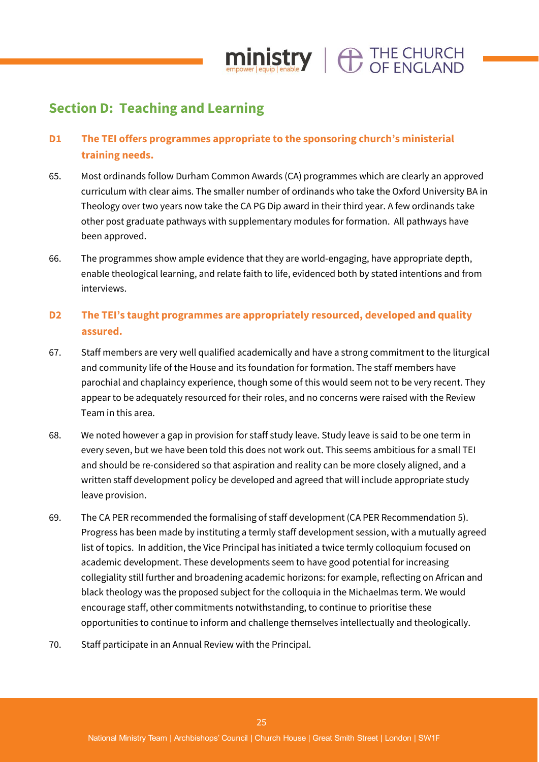

# **Section D: Teaching and Learning**

# **D1 The TEI offers programmes appropriate to the sponsoring church's ministerial training needs.**

- 65. Most ordinands follow Durham Common Awards (CA) programmes which are clearly an approved curriculum with clear aims. The smaller number of ordinands who take the Oxford University BA in Theology over two years now take the CA PG Dip award in their third year. A few ordinands take other post graduate pathways with supplementary modules for formation. All pathways have been approved.
- 66. The programmes show ample evidence that they are world-engaging, have appropriate depth, enable theological learning, and relate faith to life, evidenced both by stated intentions and from interviews.

# **D2 The TEI's taught programmes are appropriately resourced, developed and quality assured.**

- 67. Staff members are very well qualified academically and have a strong commitment to the liturgical and community life of the House and its foundation for formation. The staff members have parochial and chaplaincy experience, though some of this would seem not to be very recent. They appear to be adequately resourced for their roles, and no concerns were raised with the Review Team in this area.
- 68. We noted however a gap in provision for staff study leave. Study leave is said to be one term in every seven, but we have been told this does not work out. This seems ambitious for a small TEI and should be re-considered so that aspiration and reality can be more closely aligned, and a written staff development policy be developed and agreed that will include appropriate study leave provision.
- 69. The CA PER recommended the formalising of staff development (CA PER Recommendation 5). Progress has been made by instituting a termly staff development session, with a mutually agreed list of topics. In addition, the Vice Principal has initiated a twice termly colloquium focused on academic development. These developments seem to have good potential for increasing collegiality still further and broadening academic horizons: for example, reflecting on African and black theology was the proposed subject for the colloquia in the Michaelmas term. We would encourage staff, other commitments notwithstanding, to continue to prioritise these opportunities to continue to inform and challenge themselves intellectually and theologically.
- 70. Staff participate in an Annual Review with the Principal.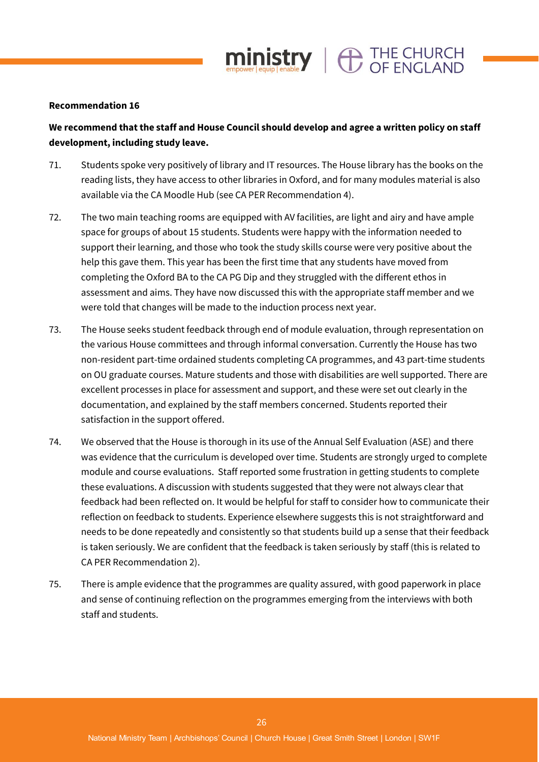

#### **Recommendation 16**

# **We recommend that the staff and House Council should develop and agree a written policy on staff development, including study leave.**

- 71. Students spoke very positively of library and IT resources. The House library has the books on the reading lists, they have access to other libraries in Oxford, and for many modules material is also available via the CA Moodle Hub (see CA PER Recommendation 4).
- 72. The two main teaching rooms are equipped with AV facilities, are light and airy and have ample space for groups of about 15 students. Students were happy with the information needed to support their learning, and those who took the study skills course were very positive about the help this gave them. This year has been the first time that any students have moved from completing the Oxford BA to the CA PG Dip and they struggled with the different ethos in assessment and aims. They have now discussed this with the appropriate staff member and we were told that changes will be made to the induction process next year.
- 73. The House seeks student feedback through end of module evaluation, through representation on the various House committees and through informal conversation. Currently the House has two non-resident part-time ordained students completing CA programmes, and 43 part-time students on OU graduate courses. Mature students and those with disabilities are well supported. There are excellent processes in place for assessment and support, and these were set out clearly in the documentation, and explained by the staff members concerned. Students reported their satisfaction in the support offered.
- 74. We observed that the House is thorough in its use of the Annual Self Evaluation (ASE) and there was evidence that the curriculum is developed over time. Students are strongly urged to complete module and course evaluations. Staff reported some frustration in getting students to complete these evaluations. A discussion with students suggested that they were not always clear that feedback had been reflected on. It would be helpful for staff to consider how to communicate their reflection on feedback to students. Experience elsewhere suggests this is not straightforward and needs to be done repeatedly and consistently so that students build up a sense that their feedback is taken seriously. We are confident that the feedback is taken seriously by staff (this is related to CA PER Recommendation 2).
- 75. There is ample evidence that the programmes are quality assured, with good paperwork in place and sense of continuing reflection on the programmes emerging from the interviews with both staff and students.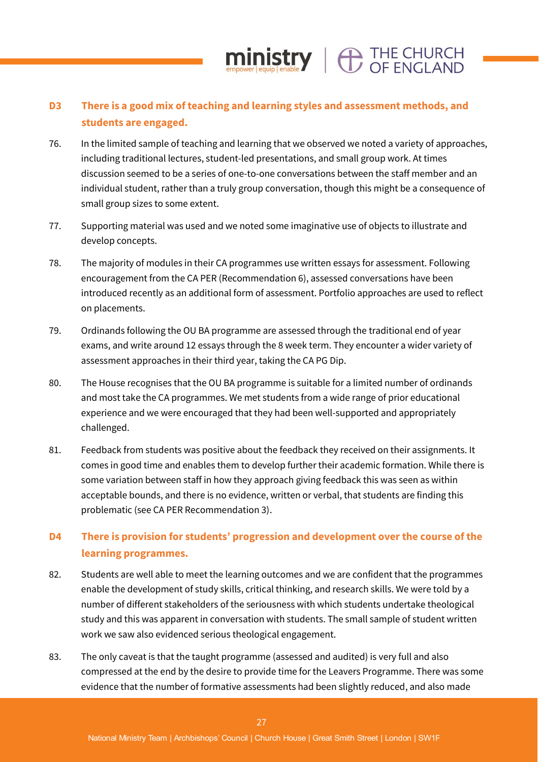# **D3 There is a good mix of teaching and learning styles and assessment methods, and students are engaged.**

ministry |  $\bigoplus$  THE CHURCH

- 76. In the limited sample of teaching and learning that we observed we noted a variety of approaches, including traditional lectures, student-led presentations, and small group work. At times discussion seemed to be a series of one-to-one conversations between the staff member and an individual student, rather than a truly group conversation, though this might be a consequence of small group sizes to some extent.
- 77. Supporting material was used and we noted some imaginative use of objects to illustrate and develop concepts.
- 78. The majority of modules in their CA programmes use written essays for assessment. Following encouragement from the CA PER (Recommendation 6), assessed conversations have been introduced recently as an additional form of assessment. Portfolio approaches are used to reflect on placements.
- 79. Ordinands following the OU BA programme are assessed through the traditional end of year exams, and write around 12 essays through the 8 week term. They encounter a wider variety of assessment approaches in their third year, taking the CA PG Dip.
- 80. The House recognises that the OU BA programme is suitable for a limited number of ordinands and most take the CA programmes. We met students from a wide range of prior educational experience and we were encouraged that they had been well-supported and appropriately challenged.
- 81. Feedback from students was positive about the feedback they received on their assignments. It comes in good time and enables them to develop further their academic formation. While there is some variation between staff in how they approach giving feedback this was seen as within acceptable bounds, and there is no evidence, written or verbal, that students are finding this problematic (see CA PER Recommendation 3).

# **D4 There is provision for students' progression and development over the course of the learning programmes.**

- 82. Students are well able to meet the learning outcomes and we are confident that the programmes enable the development of study skills, critical thinking, and research skills. We were told by a number of different stakeholders of the seriousness with which students undertake theological study and this was apparent in conversation with students. The small sample of student written work we saw also evidenced serious theological engagement.
- 83. The only caveat is that the taught programme (assessed and audited) is very full and also compressed at the end by the desire to provide time for the Leavers Programme. There was some evidence that the number of formative assessments had been slightly reduced, and also made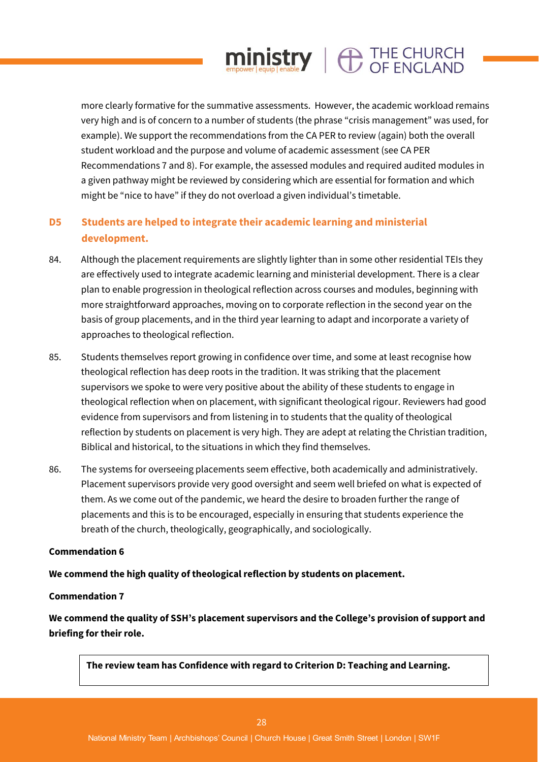more clearly formative for the summative assessments. However, the academic workload remains very high and is of concern to a number of students (the phrase "crisis management" was used, for example). We support the recommendations from the CA PER to review (again) both the overall student workload and the purpose and volume of academic assessment (see CA PER Recommendations 7 and 8). For example, the assessed modules and required audited modules in a given pathway might be reviewed by considering which are essential for formation and which might be "nice to have" if they do not overload a given individual's timetable.

 $min_{\text{empower}|\text{equip}|}\left|\bigoplus_{\text{enable}}\right| \bigoplus_{\text{OF}|\text{ENGLAND}}$ 

# **D5 Students are helped to integrate their academic learning and ministerial development.**

- 84. Although the placement requirements are slightly lighter than in some other residential TEIs they are effectively used to integrate academic learning and ministerial development. There is a clear plan to enable progression in theological reflection across courses and modules, beginning with more straightforward approaches, moving on to corporate reflection in the second year on the basis of group placements, and in the third year learning to adapt and incorporate a variety of approaches to theological reflection.
- 85. Students themselves report growing in confidence over time, and some at least recognise how theological reflection has deep roots in the tradition. It was striking that the placement supervisors we spoke to were very positive about the ability of these students to engage in theological reflection when on placement, with significant theological rigour. Reviewers had good evidence from supervisors and from listening in to students that the quality of theological reflection by students on placement is very high. They are adept at relating the Christian tradition, Biblical and historical, to the situations in which they find themselves.
- 86. The systems for overseeing placements seem effective, both academically and administratively. Placement supervisors provide very good oversight and seem well briefed on what is expected of them. As we come out of the pandemic, we heard the desire to broaden further the range of placements and this is to be encouraged, especially in ensuring that students experience the breath of the church, theologically, geographically, and sociologically.

#### **Commendation 6**

# **We commend the high quality of theological reflection by students on placement.**

#### **Commendation 7**

**We commend the quality of SSH's placement supervisors and the College's provision of support and briefing for their role.**

**The review team has Confidence with regard to Criterion D: Teaching and Learning.**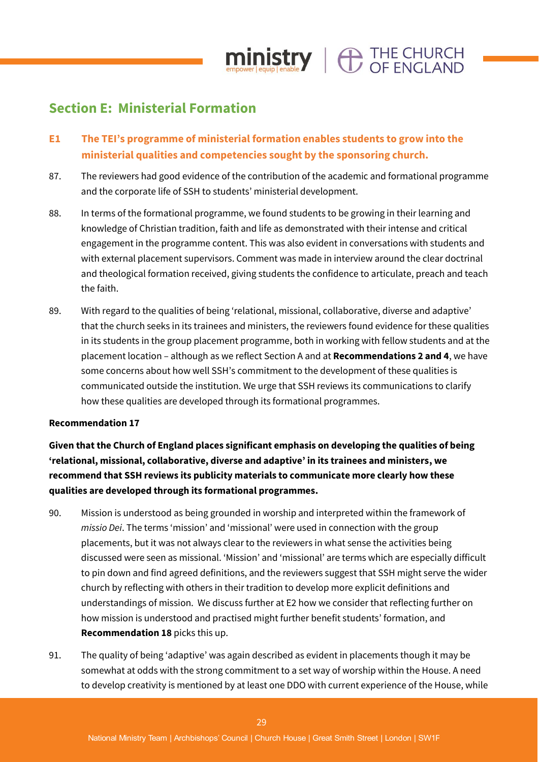

# **Section E: Ministerial Formation**

- **E1 The TEI's programme of ministerial formation enables students to grow into the ministerial qualities and competencies sought by the sponsoring church.**
- 87. The reviewers had good evidence of the contribution of the academic and formational programme and the corporate life of SSH to students' ministerial development.
- 88. In terms of the formational programme, we found students to be growing in their learning and knowledge of Christian tradition, faith and life as demonstrated with their intense and critical engagement in the programme content. This was also evident in conversations with students and with external placement supervisors. Comment was made in interview around the clear doctrinal and theological formation received, giving students the confidence to articulate, preach and teach the faith.
- 89. With regard to the qualities of being 'relational, missional, collaborative, diverse and adaptive' that the church seeks in its trainees and ministers, the reviewers found evidence for these qualities in its students in the group placement programme, both in working with fellow students and at the placement location – although as we reflect Section A and at **Recommendations 2 and 4**, we have some concerns about how well SSH's commitment to the development of these qualities is communicated outside the institution. We urge that SSH reviews its communications to clarify how these qualities are developed through its formational programmes.

#### **Recommendation 17**

**Given that the Church of England places significant emphasis on developing the qualities of being 'relational, missional, collaborative, diverse and adaptive' in its trainees and ministers, we recommend that SSH reviews its publicity materials to communicate more clearly how these qualities are developed through its formational programmes.**

- 90. Mission is understood as being grounded in worship and interpreted within the framework of *missio Dei*. The terms 'mission' and 'missional' were used in connection with the group placements, but it was not always clear to the reviewers in what sense the activities being discussed were seen as missional. 'Mission' and 'missional' are terms which are especially difficult to pin down and find agreed definitions, and the reviewers suggest that SSH might serve the wider church by reflecting with others in their tradition to develop more explicit definitions and understandings of mission. We discuss further at E2 how we consider that reflecting further on how mission is understood and practised might further benefit students' formation, and **Recommendation 18** picks this up.
- 91. The quality of being 'adaptive' was again described as evident in placements though it may be somewhat at odds with the strong commitment to a set way of worship within the House. A need to develop creativity is mentioned by at least one DDO with current experience of the House, while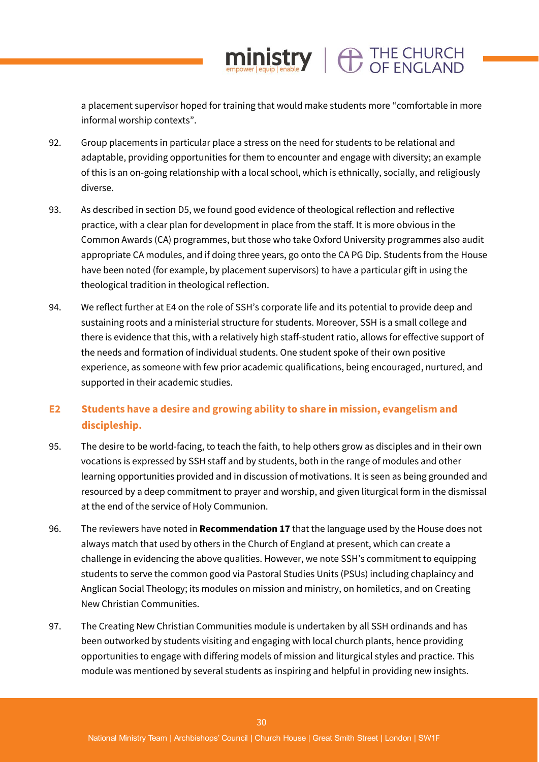a placement supervisor hoped for training that would make students more "comfortable in more informal worship contexts".

 $\mathop{\text{min}}_{\text{envector level}}$   $\mathop{\text{error}}_{\text{enable}}$   $\mathbf{Y} \parallel \bigoplus_{\text{O}} \mathop{\text{CHE}}_{\text{C}}$   $\mathop{\text{CHL}}$   $\mathop{\text{CHL}}$ 

- 92. Group placements in particular place a stress on the need for students to be relational and adaptable, providing opportunities for them to encounter and engage with diversity; an example of this is an on-going relationship with a local school, which is ethnically, socially, and religiously diverse.
- 93. As described in section D5, we found good evidence of theological reflection and reflective practice, with a clear plan for development in place from the staff. It is more obvious in the Common Awards (CA) programmes, but those who take Oxford University programmes also audit appropriate CA modules, and if doing three years, go onto the CA PG Dip. Students from the House have been noted (for example, by placement supervisors) to have a particular gift in using the theological tradition in theological reflection.
- 94. We reflect further at E4 on the role of SSH's corporate life and its potential to provide deep and sustaining roots and a ministerial structure for students. Moreover, SSH is a small college and there is evidence that this, with a relatively high staff-student ratio, allows for effective support of the needs and formation of individual students. One student spoke of their own positive experience, as someone with few prior academic qualifications, being encouraged, nurtured, and supported in their academic studies.

# **E2 Students have a desire and growing ability to share in mission, evangelism and discipleship.**

- 95. The desire to be world-facing, to teach the faith, to help others grow as disciples and in their own vocations is expressed by SSH staff and by students, both in the range of modules and other learning opportunities provided and in discussion of motivations. It is seen as being grounded and resourced by a deep commitment to prayer and worship, and given liturgical form in the dismissal at the end of the service of Holy Communion.
- 96. The reviewers have noted in **Recommendation 17** that the language used by the House does not always match that used by others in the Church of England at present, which can create a challenge in evidencing the above qualities. However, we note SSH's commitment to equipping students to serve the common good via Pastoral Studies Units (PSUs) including chaplaincy and Anglican Social Theology; its modules on mission and ministry, on homiletics, and on Creating New Christian Communities.
- 97. The Creating New Christian Communities module is undertaken by all SSH ordinands and has been outworked by students visiting and engaging with local church plants, hence providing opportunities to engage with differing models of mission and liturgical styles and practice. This module was mentioned by several students as inspiring and helpful in providing new insights.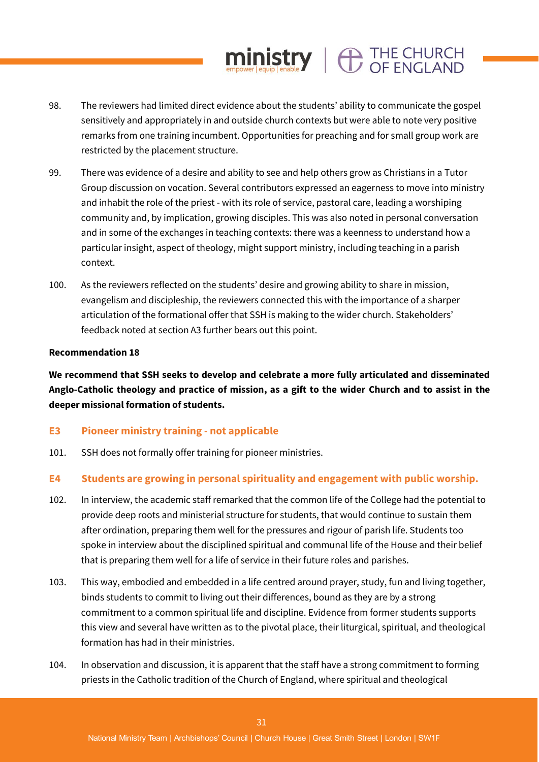# 98. The reviewers had limited direct evidence about the students' ability to communicate the gospel sensitively and appropriately in and outside church contexts but were able to note very positive remarks from one training incumbent. Opportunities for preaching and for small group work are restricted by the placement structure.

 $ministry$   $\bigoplus$  THE CHURCH

- 99. There was evidence of a desire and ability to see and help others grow as Christians in a Tutor Group discussion on vocation. Several contributors expressed an eagerness to move into ministry and inhabit the role of the priest - with its role of service, pastoral care, leading a worshiping community and, by implication, growing disciples. This was also noted in personal conversation and in some of the exchanges in teaching contexts: there was a keenness to understand how a particular insight, aspect of theology, might support ministry, including teaching in a parish context.
- 100. As the reviewers reflected on the students' desire and growing ability to share in mission, evangelism and discipleship, the reviewers connected this with the importance of a sharper articulation of the formational offer that SSH is making to the wider church. Stakeholders' feedback noted at section A3 further bears out this point.

# **Recommendation 18**

**We recommend that SSH seeks to develop and celebrate a more fully articulated and disseminated Anglo-Catholic theology and practice of mission, as a gift to the wider Church and to assist in the deeper missional formation of students.** 

# **E3 Pioneer ministry training - not applicable**

101. SSH does not formally offer training for pioneer ministries.

# **E4 Students are growing in personal spirituality and engagement with public worship.**

- 102. In interview, the academic staff remarked that the common life of the College had the potential to provide deep roots and ministerial structure for students, that would continue to sustain them after ordination, preparing them well for the pressures and rigour of parish life. Students too spoke in interview about the disciplined spiritual and communal life of the House and their belief that is preparing them well for a life of service in their future roles and parishes.
- 103. This way, embodied and embedded in a life centred around prayer, study, fun and living together, binds students to commit to living out their differences, bound as they are by a strong commitment to a common spiritual life and discipline. Evidence from former students supports this view and several have written as to the pivotal place, their liturgical, spiritual, and theological formation has had in their ministries.
- 104. In observation and discussion, it is apparent that the staff have a strong commitment to forming priests in the Catholic tradition of the Church of England, where spiritual and theological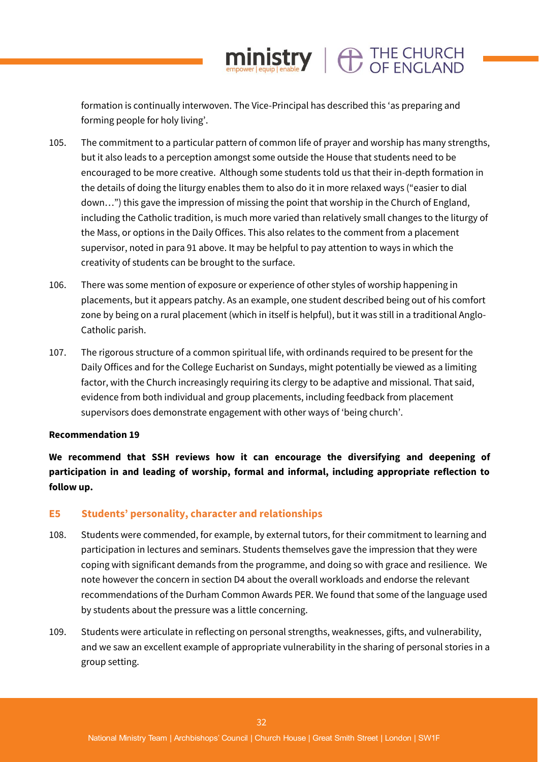formation is continually interwoven. The Vice-Principal has described this 'as preparing and forming people for holy living'.

ministry |  $\bigoplus$  THE CHURCH

- 105. The commitment to a particular pattern of common life of prayer and worship has many strengths, but it also leads to a perception amongst some outside the House that students need to be encouraged to be more creative. Although some students told us that their in-depth formation in the details of doing the liturgy enables them to also do it in more relaxed ways ("easier to dial down…") this gave the impression of missing the point that worship in the Church of England, including the Catholic tradition, is much more varied than relatively small changes to the liturgy of the Mass, or options in the Daily Offices. This also relates to the comment from a placement supervisor, noted in para 91 above. It may be helpful to pay attention to ways in which the creativity of students can be brought to the surface.
- 106. There was some mention of exposure or experience of other styles of worship happening in placements, but it appears patchy. As an example, one student described being out of his comfort zone by being on a rural placement (which in itself is helpful), but it was still in a traditional Anglo-Catholic parish.
- 107. The rigorous structure of a common spiritual life, with ordinands required to be present for the Daily Offices and for the College Eucharist on Sundays, might potentially be viewed as a limiting factor, with the Church increasingly requiring its clergy to be adaptive and missional. That said, evidence from both individual and group placements, including feedback from placement supervisors does demonstrate engagement with other ways of 'being church'.

#### **Recommendation 19**

**We recommend that SSH reviews how it can encourage the diversifying and deepening of participation in and leading of worship, formal and informal, including appropriate reflection to follow up.**

#### **E5 Students' personality, character and relationships**

- 108. Students were commended, for example, by external tutors, for their commitment to learning and participation in lectures and seminars. Students themselves gave the impression that they were coping with significant demands from the programme, and doing so with grace and resilience. We note however the concern in section D4 about the overall workloads and endorse the relevant recommendations of the Durham Common Awards PER. We found that some of the language used by students about the pressure was a little concerning.
- 109. Students were articulate in reflecting on personal strengths, weaknesses, gifts, and vulnerability, and we saw an excellent example of appropriate vulnerability in the sharing of personal stories in a group setting.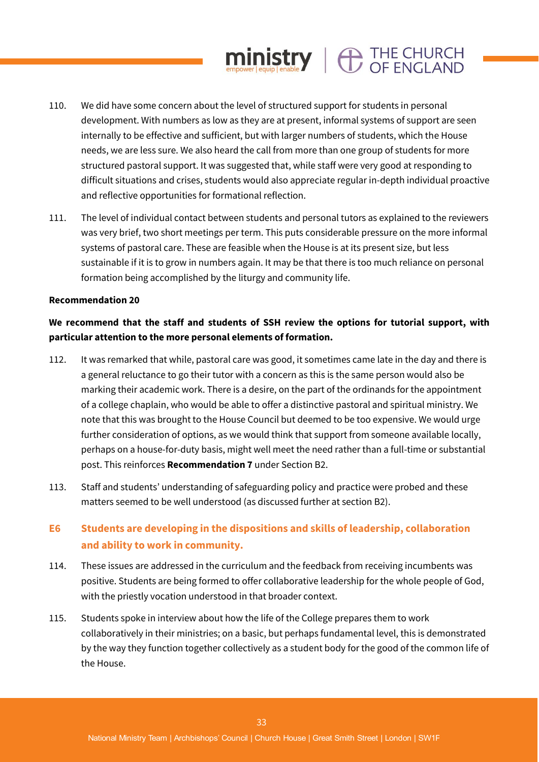# 110. We did have some concern about the level of structured support for students in personal development. With numbers as low as they are at present, informal systems of support are seen internally to be effective and sufficient, but with larger numbers of students, which the House needs, we are less sure. We also heard the call from more than one group of students for more structured pastoral support. It was suggested that, while staff were very good at responding to difficult situations and crises, students would also appreciate regular in-depth individual proactive and reflective opportunities for formational reflection.

 $ministry$   $\oplus$  THE CHURCH

111. The level of individual contact between students and personal tutors as explained to the reviewers was very brief, two short meetings per term. This puts considerable pressure on the more informal systems of pastoral care. These are feasible when the House is at its present size, but less sustainable if it is to grow in numbers again. It may be that there is too much reliance on personal formation being accomplished by the liturgy and community life.

#### **Recommendation 20**

# **We recommend that the staff and students of SSH review the options for tutorial support, with particular attention to the more personal elements of formation.**

- 112. It was remarked that while, pastoral care was good, it sometimes came late in the day and there is a general reluctance to go their tutor with a concern as this is the same person would also be marking their academic work. There is a desire, on the part of the ordinands for the appointment of a college chaplain, who would be able to offer a distinctive pastoral and spiritual ministry. We note that this was brought to the House Council but deemed to be too expensive. We would urge further consideration of options, as we would think that support from someone available locally, perhaps on a house-for-duty basis, might well meet the need rather than a full-time or substantial post. This reinforces **Recommendation 7** under Section B2.
- 113. Staff and students' understanding of safeguarding policy and practice were probed and these matters seemed to be well understood (as discussed further at section B2).

# **E6 Students are developing in the dispositions and skills of leadership, collaboration and ability to work in community.**

- 114. These issues are addressed in the curriculum and the feedback from receiving incumbents was positive. Students are being formed to offer collaborative leadership for the whole people of God, with the priestly vocation understood in that broader context.
- 115. Students spoke in interview about how the life of the College prepares them to work collaboratively in their ministries; on a basic, but perhaps fundamental level, this is demonstrated by the way they function together collectively as a student body for the good of the common life of the House.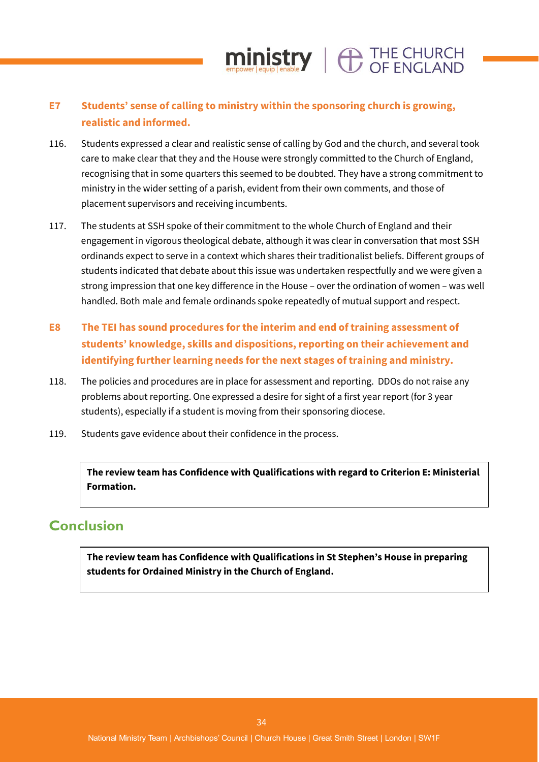# **E7 Students' sense of calling to ministry within the sponsoring church is growing, realistic and informed.**

116. Students expressed a clear and realistic sense of calling by God and the church, and several took care to make clear that they and the House were strongly committed to the Church of England, recognising that in some quarters this seemed to be doubted. They have a strong commitment to ministry in the wider setting of a parish, evident from their own comments, and those of placement supervisors and receiving incumbents.

 $ministry \mid \bigoplus_{CF} \text{FNCI AND}$ 

- 117. The students at SSH spoke of their commitment to the whole Church of England and their engagement in vigorous theological debate, although it was clear in conversation that most SSH ordinands expect to serve in a context which shares their traditionalist beliefs. Different groups of students indicated that debate about this issue was undertaken respectfully and we were given a strong impression that one key difference in the House – over the ordination of women – was well handled. Both male and female ordinands spoke repeatedly of mutual support and respect.
- **E8 The TEI has sound procedures for the interim and end of training assessment of students' knowledge, skills and dispositions, reporting on their achievement and identifying further learning needs for the next stages of training and ministry.**
- 118. The policies and procedures are in place for assessment and reporting. DDOs do not raise any problems about reporting. One expressed a desire for sight of a first year report (for 3 year students), especially if a student is moving from their sponsoring diocese.
- 119. Students gave evidence about their confidence in the process.

**The review team has Confidence with Qualifications with regard to Criterion E: Ministerial Formation.**

# **Conclusion**

**The review team has Confidence with Qualifications in St Stephen's House in preparing students for Ordained Ministry in the Church of England.**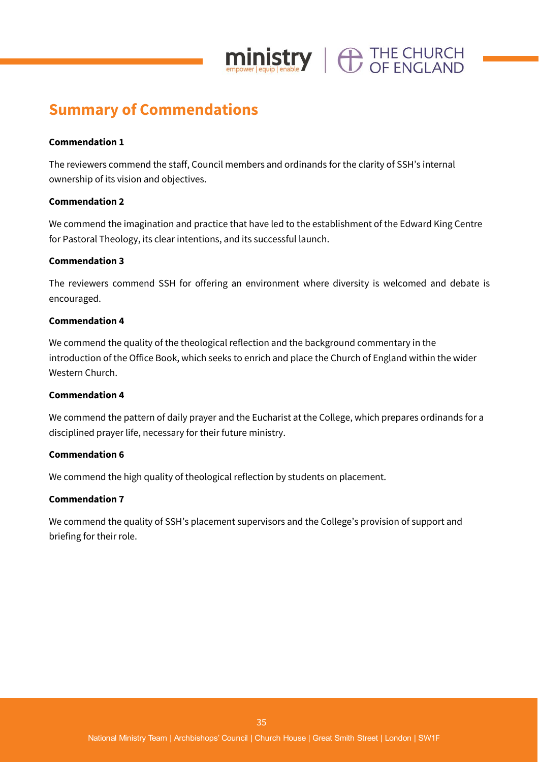

# **Summary of Commendations**

# **Commendation 1**

The reviewers commend the staff, Council members and ordinands for the clarity of SSH's internal ownership of its vision and objectives.

# **Commendation 2**

We commend the imagination and practice that have led to the establishment of the Edward King Centre for Pastoral Theology, its clear intentions, and its successful launch.

# **Commendation 3**

The reviewers commend SSH for offering an environment where diversity is welcomed and debate is encouraged.

# **Commendation 4**

We commend the quality of the theological reflection and the background commentary in the introduction of the Office Book, which seeks to enrich and place the Church of England within the wider Western Church.

# **Commendation 4**

We commend the pattern of daily prayer and the Eucharist at the College, which prepares ordinands for a disciplined prayer life, necessary for their future ministry.

# **Commendation 6**

We commend the high quality of theological reflection by students on placement.

# **Commendation 7**

We commend the quality of SSH's placement supervisors and the College's provision of support and briefing for their role.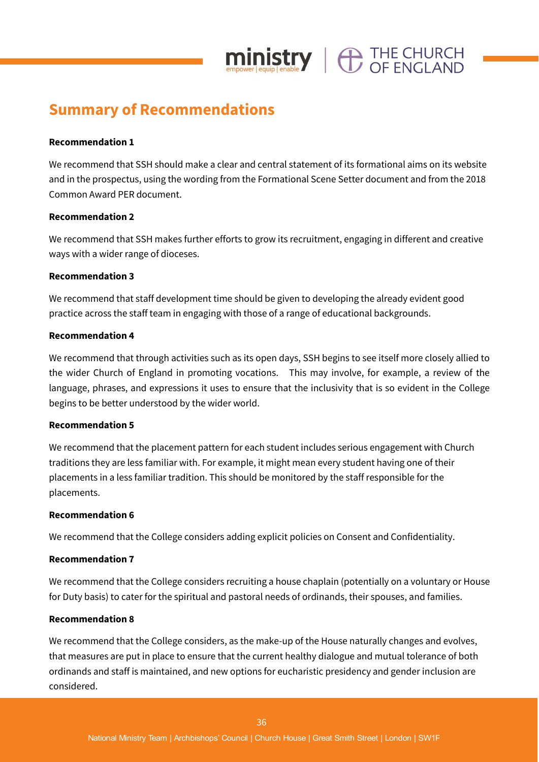

# **Summary of Recommendations**

# **Recommendation 1**

We recommend that SSH should make a clear and central statement of its formational aims on its website and in the prospectus, using the wording from the Formational Scene Setter document and from the 2018 Common Award PER document.

# **Recommendation 2**

We recommend that SSH makes further efforts to grow its recruitment, engaging in different and creative ways with a wider range of dioceses.

# **Recommendation 3**

We recommend that staff development time should be given to developing the already evident good practice across the staff team in engaging with those of a range of educational backgrounds.

# **Recommendation 4**

We recommend that through activities such as its open days, SSH begins to see itself more closely allied to the wider Church of England in promoting vocations. This may involve, for example, a review of the language, phrases, and expressions it uses to ensure that the inclusivity that is so evident in the College begins to be better understood by the wider world.

# **Recommendation 5**

We recommend that the placement pattern for each student includes serious engagement with Church traditions they are less familiar with. For example, it might mean every student having one of their placements in a less familiar tradition. This should be monitored by the staff responsible for the placements.

# **Recommendation 6**

We recommend that the College considers adding explicit policies on Consent and Confidentiality.

# **Recommendation 7**

We recommend that the College considers recruiting a house chaplain (potentially on a voluntary or House for Duty basis) to cater for the spiritual and pastoral needs of ordinands, their spouses, and families.

# **Recommendation 8**

We recommend that the College considers, as the make-up of the House naturally changes and evolves, that measures are put in place to ensure that the current healthy dialogue and mutual tolerance of both ordinands and staff is maintained, and new options for eucharistic presidency and gender inclusion are considered.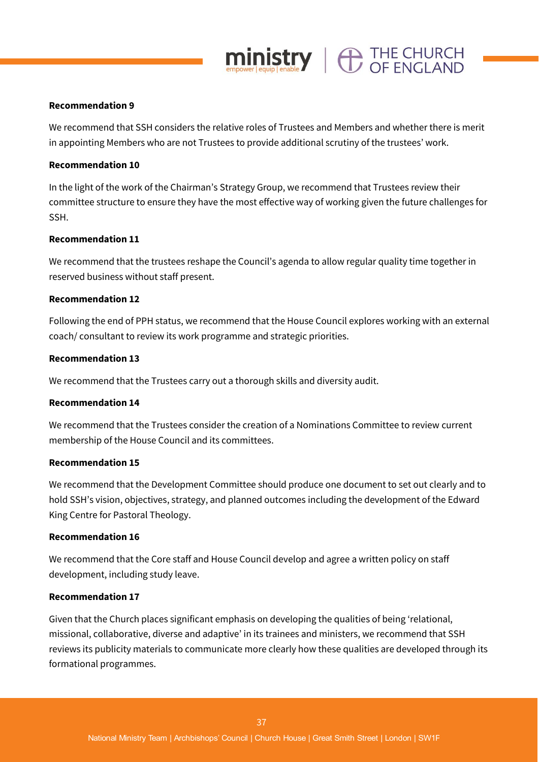#### **Recommendation 9**

We recommend that SSH considers the relative roles of Trustees and Members and whether there is merit in appointing Members who are not Trustees to provide additional scrutiny of the trustees' work.

 $ministry$   $\oplus$  THE CHURCH

#### **Recommendation 10**

In the light of the work of the Chairman's Strategy Group, we recommend that Trustees review their committee structure to ensure they have the most effective way of working given the future challenges for SSH.

#### **Recommendation 11**

We recommend that the trustees reshape the Council's agenda to allow regular quality time together in reserved business without staff present.

#### **Recommendation 12**

Following the end of PPH status, we recommend that the House Council explores working with an external coach/ consultant to review its work programme and strategic priorities.

#### **Recommendation 13**

We recommend that the Trustees carry out a thorough skills and diversity audit.

#### **Recommendation 14**

We recommend that the Trustees consider the creation of a Nominations Committee to review current membership of the House Council and its committees.

#### **Recommendation 15**

We recommend that the Development Committee should produce one document to set out clearly and to hold SSH's vision, objectives, strategy, and planned outcomes including the development of the Edward King Centre for Pastoral Theology.

#### **Recommendation 16**

We recommend that the Core staff and House Council develop and agree a written policy on staff development, including study leave.

#### **Recommendation 17**

Given that the Church places significant emphasis on developing the qualities of being 'relational, missional, collaborative, diverse and adaptive' in its trainees and ministers, we recommend that SSH reviews its publicity materials to communicate more clearly how these qualities are developed through its formational programmes.